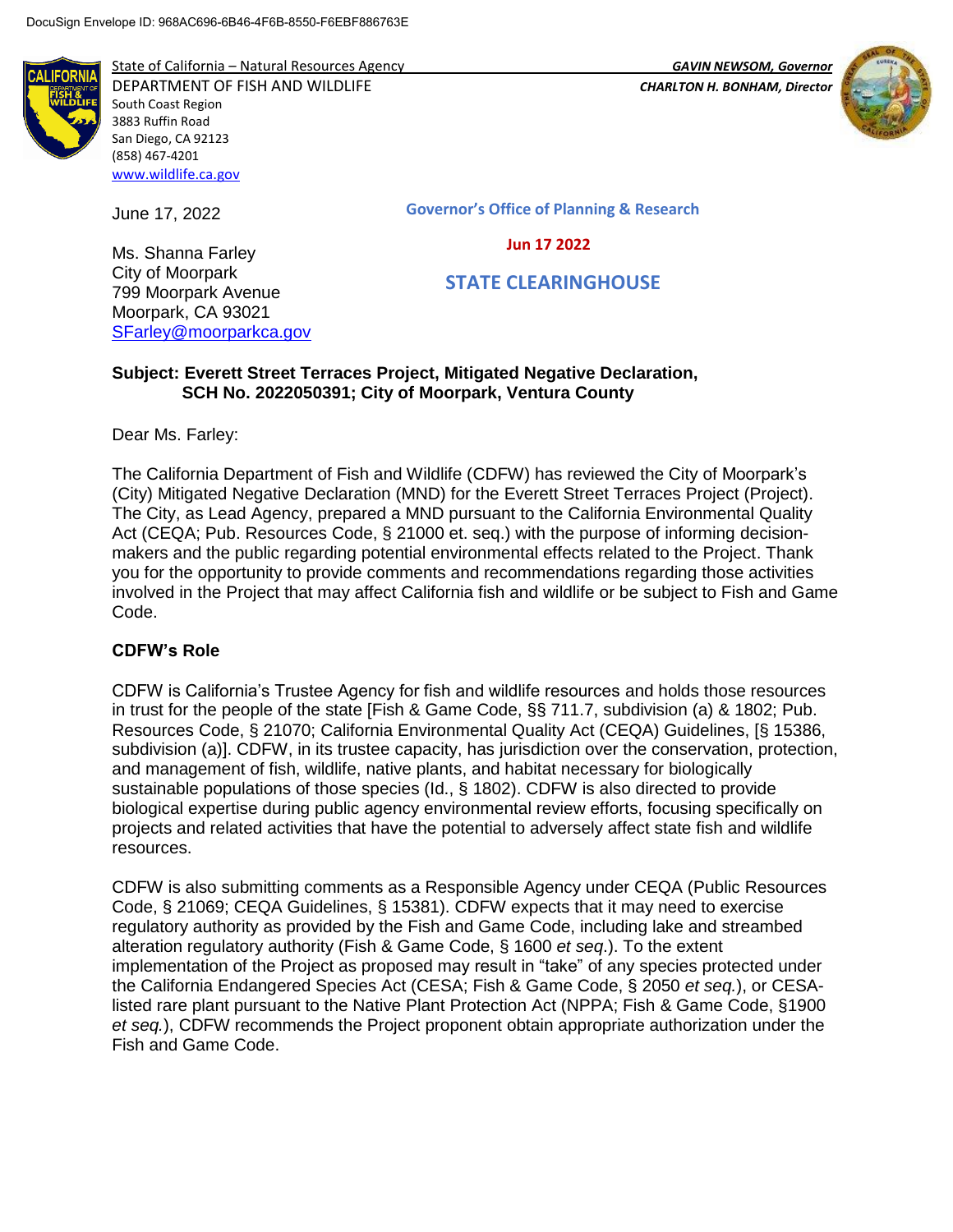

State of California – Natural Resources Agency *GAVIN NEWSOM, Governor*

DEPARTMENT OF FISH AND WILDLIFE *CHARLTON H. BONHAM, Director*  South Coast Region 3883 Ruffin Road San Diego, CA 92123 (858) 467-4201 [www.wildlife.ca.gov](http://www.wildlife.ca.gov/)



**Governor's Office of Planning & Research**

#### **Jun 17 2022**

 **STATE CLEARINGHOUSE**

## **Subject: Everett Street Terraces Project, Mitigated Negative Declaration, SCH No. 2022050391; City of Moorpark, Ventura County**

Dear Ms. Farley:

June 17, 2022

Ms. Shanna Farley City of Moorpark 799 Moorpark Avenue Moorpark, CA 93021 [SFarley@moorparkca.gov](mailto:SFarley@moorparkca.gov)

The California Department of Fish and Wildlife (CDFW) has reviewed the City of Moorpark's (City) Mitigated Negative Declaration (MND) for the Everett Street Terraces Project (Project). The City, as Lead Agency, prepared a MND pursuant to the California Environmental Quality Act (CEQA; Pub. Resources Code, § 21000 et. seq.) with the purpose of informing decisionmakers and the public regarding potential environmental effects related to the Project. Thank you for the opportunity to provide comments and recommendations regarding those activities involved in the Project that may affect California fish and wildlife or be subject to Fish and Game Code.

# **CDFW's Role**

CDFW is California's Trustee Agency for fish and wildlife resources and holds those resources in trust for the people of the state [Fish & Game Code, §§ 711.7, subdivision (a) & 1802; Pub. Resources Code, § 21070; California Environmental Quality Act (CEQA) Guidelines, [§ 15386, subdivision (a)]. CDFW, in its trustee capacity, has jurisdiction over the conservation, protection, and management of fish, wildlife, native plants, and habitat necessary for biologically sustainable populations of those species (Id., § 1802). CDFW is also directed to provide biological expertise during public agency environmental review efforts, focusing specifically on projects and related activities that have the potential to adversely affect state fish and wildlife resources.

CDFW is also submitting comments as a Responsible Agency under CEQA (Public Resources Code, § 21069; CEQA Guidelines, § 15381). CDFW expects that it may need to exercise regulatory authority as provided by the Fish and Game Code, including lake and streambed alteration regulatory authority (Fish & Game Code, § 1600 *et seq*.). To the extent implementation of the Project as proposed may result in "take" of any species protected under the California Endangered Species Act (CESA; Fish & Game Code, § 2050 *et seq.*), or CESAlisted rare plant pursuant to the Native Plant Protection Act (NPPA; Fish & Game Code, §1900 *et seq.*), CDFW recommends the Project proponent obtain appropriate authorization under the Fish and Game Code.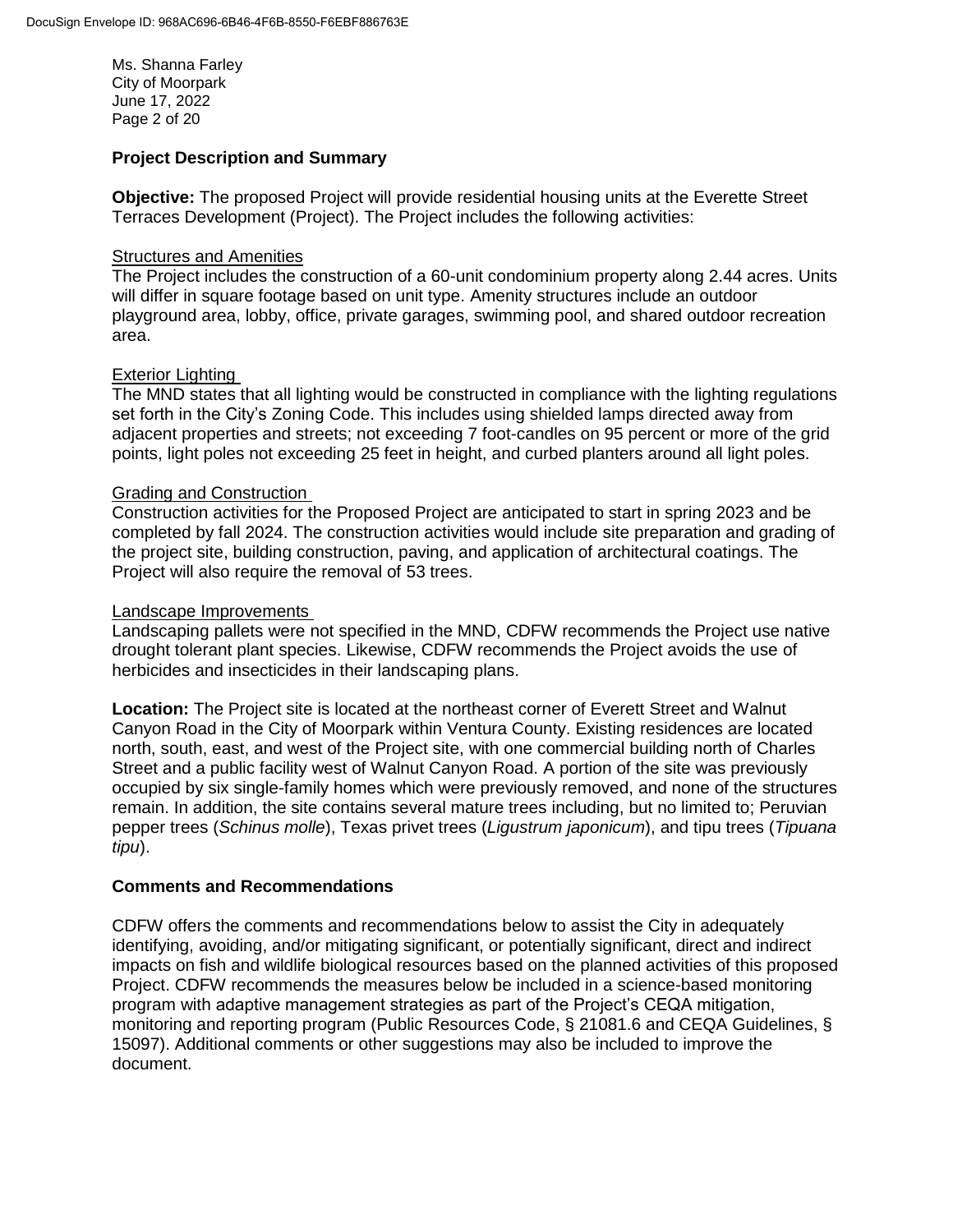Ms. Shanna Farley City of Moorpark June 17, 2022 Page 2 of 20

## **Project Description and Summary**

**Objective:** The proposed Project will provide residential housing units at the Everette Street Terraces Development (Project). The Project includes the following activities:

# **Structures and Amenities**

The Project includes the construction of a 60-unit condominium property along 2.44 acres. Units will differ in square footage based on unit type. Amenity structures include an outdoor playground area, lobby, office, private garages, swimming pool, and shared outdoor recreation area.

## Exterior Lighting

The MND states that all lighting would be constructed in compliance with the lighting regulations set forth in the City's Zoning Code. This includes using shielded lamps directed away from adjacent properties and streets; not exceeding 7 foot-candles on 95 percent or more of the grid points, light poles not exceeding 25 feet in height, and curbed planters around all light poles.

## Grading and Construction

Construction activities for the Proposed Project are anticipated to start in spring 2023 and be completed by fall 2024. The construction activities would include site preparation and grading of the project site, building construction, paving, and application of architectural coatings. The Project will also require the removal of 53 trees.

#### Landscape Improvements

Landscaping pallets were not specified in the MND, CDFW recommends the Project use native drought tolerant plant species. Likewise, CDFW recommends the Project avoids the use of herbicides and insecticides in their landscaping plans.

**Location:** The Project site is located at the northeast corner of Everett Street and Walnut Canyon Road in the City of Moorpark within Ventura County. Existing residences are located north, south, east, and west of the Project site, with one commercial building north of Charles Street and a public facility west of Walnut Canyon Road. A portion of the site was previously occupied by six single-family homes which were previously removed, and none of the structures remain. In addition, the site contains several mature trees including, but no limited to; Peruvian pepper trees (*Schinus molle*), Texas privet trees (*Ligustrum japonicum*), and tipu trees (*Tipuana tipu*).

#### **Comments and Recommendations**

CDFW offers the comments and recommendations below to assist the City in adequately identifying, avoiding, and/or mitigating significant, or potentially significant, direct and indirect impacts on fish and wildlife biological resources based on the planned activities of this proposed Project. CDFW recommends the measures below be included in a science-based monitoring program with adaptive management strategies as part of the Project's CEQA mitigation, monitoring and reporting program (Public Resources Code, § 21081.6 and CEQA Guidelines, § 15097). Additional comments or other suggestions may also be included to improve the document.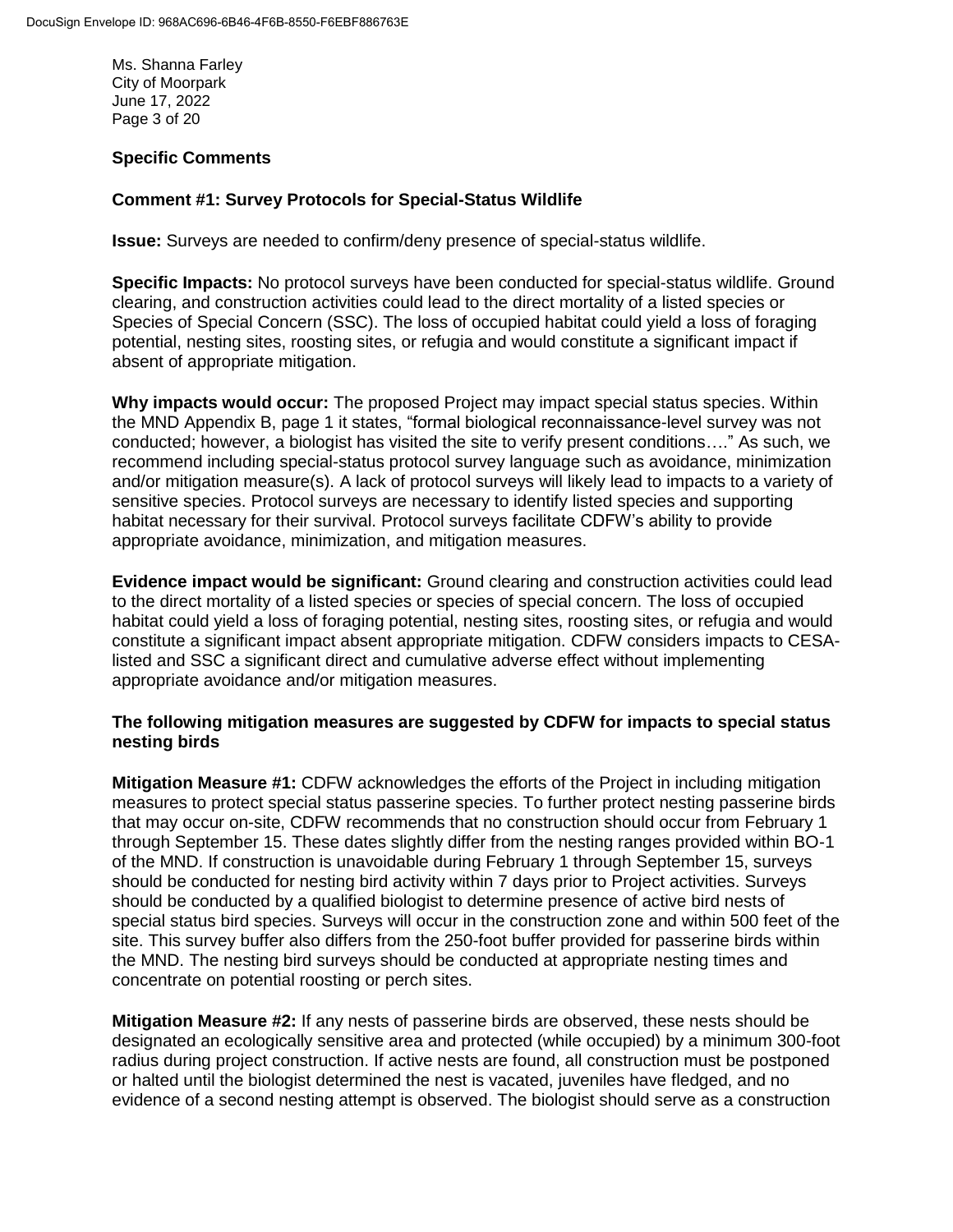Ms. Shanna Farley City of Moorpark June 17, 2022 Page 3 of 20

# **Specific Comments**

# **Comment #1: Survey Protocols for Special-Status Wildlife**

**Issue:** Surveys are needed to confirm/deny presence of special-status wildlife.

**Specific Impacts:** No protocol surveys have been conducted for special-status wildlife. Ground clearing, and construction activities could lead to the direct mortality of a listed species or Species of Special Concern (SSC). The loss of occupied habitat could yield a loss of foraging potential, nesting sites, roosting sites, or refugia and would constitute a significant impact if absent of appropriate mitigation.

**Why impacts would occur:** The proposed Project may impact special status species. Within the MND Appendix B, page 1 it states, "formal biological reconnaissance-level survey was not conducted; however, a biologist has visited the site to verify present conditions…." As such, we recommend including special-status protocol survey language such as avoidance, minimization and/or mitigation measure(s). A lack of protocol surveys will likely lead to impacts to a variety of sensitive species. Protocol surveys are necessary to identify listed species and supporting habitat necessary for their survival. Protocol surveys facilitate CDFW's ability to provide appropriate avoidance, minimization, and mitigation measures.

**Evidence impact would be significant:** Ground clearing and construction activities could lead to the direct mortality of a listed species or species of special concern. The loss of occupied habitat could yield a loss of foraging potential, nesting sites, roosting sites, or refugia and would constitute a significant impact absent appropriate mitigation. CDFW considers impacts to CESAlisted and SSC a significant direct and cumulative adverse effect without implementing appropriate avoidance and/or mitigation measures.

## **The following mitigation measures are suggested by CDFW for impacts to special status nesting birds**

**Mitigation Measure #1:** CDFW acknowledges the efforts of the Project in including mitigation measures to protect special status passerine species. To further protect nesting passerine birds that may occur on-site, CDFW recommends that no construction should occur from February 1 through September 15. These dates slightly differ from the nesting ranges provided within BO-1 of the MND. If construction is unavoidable during February 1 through September 15, surveys should be conducted for nesting bird activity within 7 days prior to Project activities. Surveys should be conducted by a qualified biologist to determine presence of active bird nests of special status bird species. Surveys will occur in the construction zone and within 500 feet of the site. This survey buffer also differs from the 250-foot buffer provided for passerine birds within the MND. The nesting bird surveys should be conducted at appropriate nesting times and concentrate on potential roosting or perch sites.

**Mitigation Measure #2:** If any nests of passerine birds are observed, these nests should be designated an ecologically sensitive area and protected (while occupied) by a minimum 300-foot radius during project construction. If active nests are found, all construction must be postponed or halted until the biologist determined the nest is vacated, juveniles have fledged, and no evidence of a second nesting attempt is observed. The biologist should serve as a construction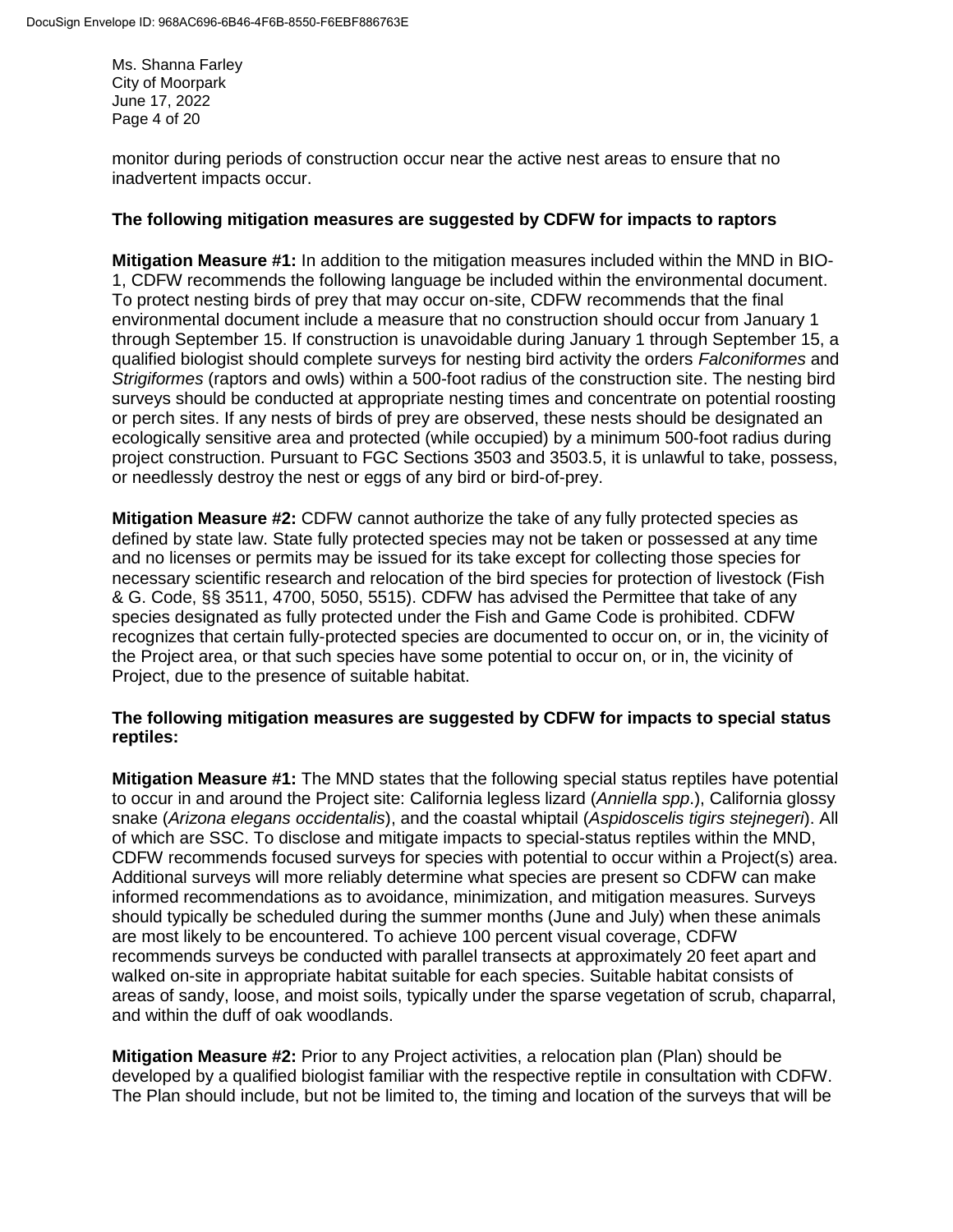Ms. Shanna Farley City of Moorpark June 17, 2022 Page 4 of 20

monitor during periods of construction occur near the active nest areas to ensure that no inadvertent impacts occur.

#### **The following mitigation measures are suggested by CDFW for impacts to raptors**

**Mitigation Measure #1:** In addition to the mitigation measures included within the MND in BIO-1, CDFW recommends the following language be included within the environmental document. To protect nesting birds of prey that may occur on-site, CDFW recommends that the final environmental document include a measure that no construction should occur from January 1 through September 15. If construction is unavoidable during January 1 through September 15, a qualified biologist should complete surveys for nesting bird activity the orders *Falconiformes* and *Strigiformes* (raptors and owls) within a 500-foot radius of the construction site. The nesting bird surveys should be conducted at appropriate nesting times and concentrate on potential roosting or perch sites. If any nests of birds of prey are observed, these nests should be designated an ecologically sensitive area and protected (while occupied) by a minimum 500-foot radius during project construction. Pursuant to FGC Sections 3503 and 3503.5, it is unlawful to take, possess, or needlessly destroy the nest or eggs of any bird or bird-of-prey.

**Mitigation Measure #2:** CDFW cannot authorize the take of any fully protected species as defined by state law. State fully protected species may not be taken or possessed at any time and no licenses or permits may be issued for its take except for collecting those species for necessary scientific research and relocation of the bird species for protection of livestock (Fish & G. Code, §§ 3511, 4700, 5050, 5515). CDFW has advised the Permittee that take of any species designated as fully protected under the Fish and Game Code is prohibited. CDFW recognizes that certain fully-protected species are documented to occur on, or in, the vicinity of the Project area, or that such species have some potential to occur on, or in, the vicinity of Project, due to the presence of suitable habitat.

## **The following mitigation measures are suggested by CDFW for impacts to special status reptiles:**

**Mitigation Measure #1:** The MND states that the following special status reptiles have potential to occur in and around the Project site: California legless lizard (*Anniella spp*.), California glossy snake (*Arizona elegans occidentalis*), and the coastal whiptail (*Aspidoscelis tigirs stejnegeri*). All of which are SSC. To disclose and mitigate impacts to special-status reptiles within the MND, CDFW recommends focused surveys for species with potential to occur within a Project(s) area. Additional surveys will more reliably determine what species are present so CDFW can make informed recommendations as to avoidance, minimization, and mitigation measures. Surveys should typically be scheduled during the summer months (June and July) when these animals are most likely to be encountered. To achieve 100 percent visual coverage, CDFW recommends surveys be conducted with parallel transects at approximately 20 feet apart and walked on-site in appropriate habitat suitable for each species. Suitable habitat consists of areas of sandy, loose, and moist soils, typically under the sparse vegetation of scrub, chaparral, and within the duff of oak woodlands.

**Mitigation Measure #2:** Prior to any Project activities, a relocation plan (Plan) should be developed by a qualified biologist familiar with the respective reptile in consultation with CDFW. The Plan should include, but not be limited to, the timing and location of the surveys that will be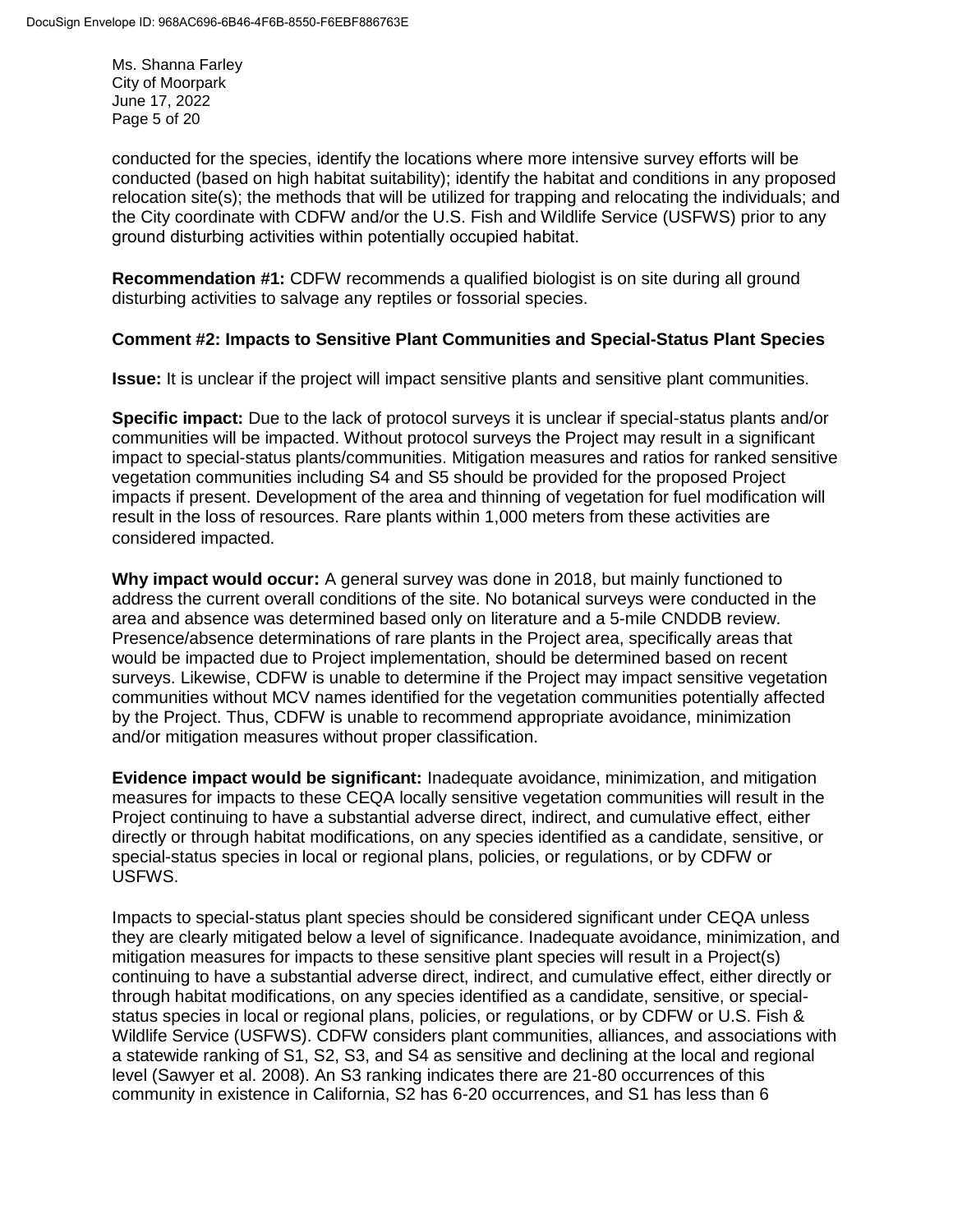Ms. Shanna Farley City of Moorpark June 17, 2022 Page 5 of 20

conducted for the species, identify the locations where more intensive survey efforts will be conducted (based on high habitat suitability); identify the habitat and conditions in any proposed relocation site(s); the methods that will be utilized for trapping and relocating the individuals; and the City coordinate with CDFW and/or the U.S. Fish and Wildlife Service (USFWS) prior to any ground disturbing activities within potentially occupied habitat. 

**Recommendation #1: CDFW recommends a qualified biologist is on site during all ground** disturbing activities to salvage any reptiles or fossorial species.

## **Comment #2: Impacts to Sensitive Plant Communities and Special-Status Plant Species**

**Issue:** It is unclear if the project will impact sensitive plants and sensitive plant communities.

**Specific impact:** Due to the lack of protocol surveys it is unclear if special-status plants and/or communities will be impacted. Without protocol surveys the Project may result in a significant impact to special-status plants/communities. Mitigation measures and ratios for ranked sensitive vegetation communities including S4 and S5 should be provided for the proposed Project impacts if present. Development of the area and thinning of vegetation for fuel modification will result in the loss of resources. Rare plants within 1,000 meters from these activities are considered impacted.

**Why impact would occur:** A general survey was done in 2018, but mainly functioned to address the current overall conditions of the site. No botanical surveys were conducted in the area and absence was determined based only on literature and a 5-mile CNDDB review. Presence/absence determinations of rare plants in the Project area, specifically areas that would be impacted due to Project implementation, should be determined based on recent surveys. Likewise, CDFW is unable to determine if the Project may impact sensitive vegetation communities without MCV names identified for the vegetation communities potentially affected by the Project. Thus, CDFW is unable to recommend appropriate avoidance, minimization and/or mitigation measures without proper classification.

**Evidence impact would be significant:** Inadequate avoidance, minimization, and mitigation measures for impacts to these CEQA locally sensitive vegetation communities will result in the Project continuing to have a substantial adverse direct, indirect, and cumulative effect, either directly or through habitat modifications, on any species identified as a candidate, sensitive, or special-status species in local or regional plans, policies, or regulations, or by CDFW or USFWS.

Impacts to special-status plant species should be considered significant under CEQA unless they are clearly mitigated below a level of significance. Inadequate avoidance, minimization, and mitigation measures for impacts to these sensitive plant species will result in a Project(s) continuing to have a substantial adverse direct, indirect, and cumulative effect, either directly or through habitat modifications, on any species identified as a candidate, sensitive, or specialstatus species in local or regional plans, policies, or regulations, or by CDFW or U.S. Fish & Wildlife Service (USFWS). CDFW considers plant communities, alliances, and associations with a statewide ranking of S1, S2, S3, and S4 as sensitive and declining at the local and regional level (Sawyer et al. 2008). An S3 ranking indicates there are 21-80 occurrences of this community in existence in California, S2 has 6-20 occurrences, and S1 has less than 6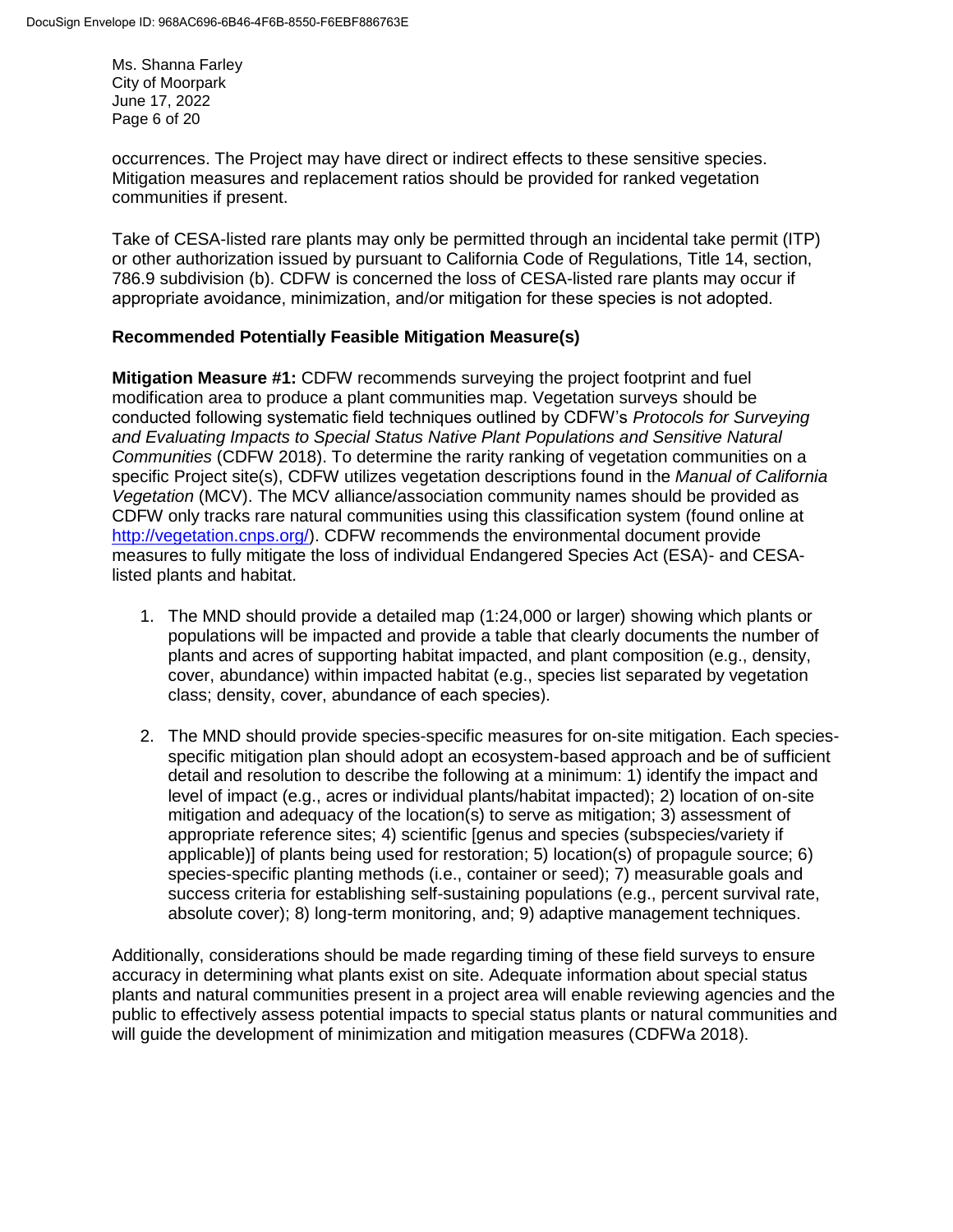Ms. Shanna Farley City of Moorpark June 17, 2022 Page 6 of 20

occurrences. The Project may have direct or indirect effects to these sensitive species. Mitigation measures and replacement ratios should be provided for ranked vegetation communities if present.

Take of CESA-listed rare plants may only be permitted through an incidental take permit (ITP) or other authorization issued by pursuant to California Code of Regulations, Title 14, section, 786.9 subdivision (b). CDFW is concerned the loss of CESA-listed rare plants may occur if appropriate avoidance, minimization, and/or mitigation for these species is not adopted. 

# **Recommended Potentially Feasible Mitigation Measure(s)**

**Mitigation Measure #1:** CDFW recommends surveying the project footprint and fuel modification area to produce a plant communities map. Vegetation surveys should be conducted following systematic field techniques outlined by CDFW's *Protocols for Surveying and Evaluating Impacts to Special Status Native Plant Populations and Sensitive Natural Communities* (CDFW 2018). To determine the rarity ranking of vegetation communities on a specific Project site(s), CDFW utilizes vegetation descriptions found in the *Manual of California Vegetation* (MCV). The MCV alliance/association community names should be provided as CDFW only tracks rare natural communities using this classification system (found online at [http://vegetation.cnps.org/\)](http://vegetation.cnps.org/). CDFW recommends the environmental document provide measures to fully mitigate the loss of individual Endangered Species Act (ESA)- and CESAlisted plants and habitat.

- 1. The MND should provide a detailed map (1:24,000 or larger) showing which plants or populations will be impacted and provide a table that clearly documents the number of plants and acres of supporting habitat impacted, and plant composition (e.g., density, cover, abundance) within impacted habitat (e.g., species list separated by vegetation class; density, cover, abundance of each species).
- 2. The MND should provide species-specific measures for on-site mitigation. Each speciesspecific mitigation plan should adopt an ecosystem-based approach and be of sufficient detail and resolution to describe the following at a minimum: 1) identify the impact and level of impact (e.g., acres or individual plants/habitat impacted); 2) location of on-site mitigation and adequacy of the location(s) to serve as mitigation; 3) assessment of appropriate reference sites; 4) scientific [genus and species (subspecies/variety if applicable)] of plants being used for restoration; 5) location(s) of propagule source; 6) species-specific planting methods (i.e., container or seed); 7) measurable goals and success criteria for establishing self-sustaining populations (e.g., percent survival rate, absolute cover); 8) long-term monitoring, and; 9) adaptive management techniques.

Additionally, considerations should be made regarding timing of these field surveys to ensure accuracy in determining what plants exist on site. Adequate information about special status plants and natural communities present in a project area will enable reviewing agencies and the public to effectively assess potential impacts to special status plants or natural communities and will guide the development of minimization and mitigation measures (CDFWa 2018).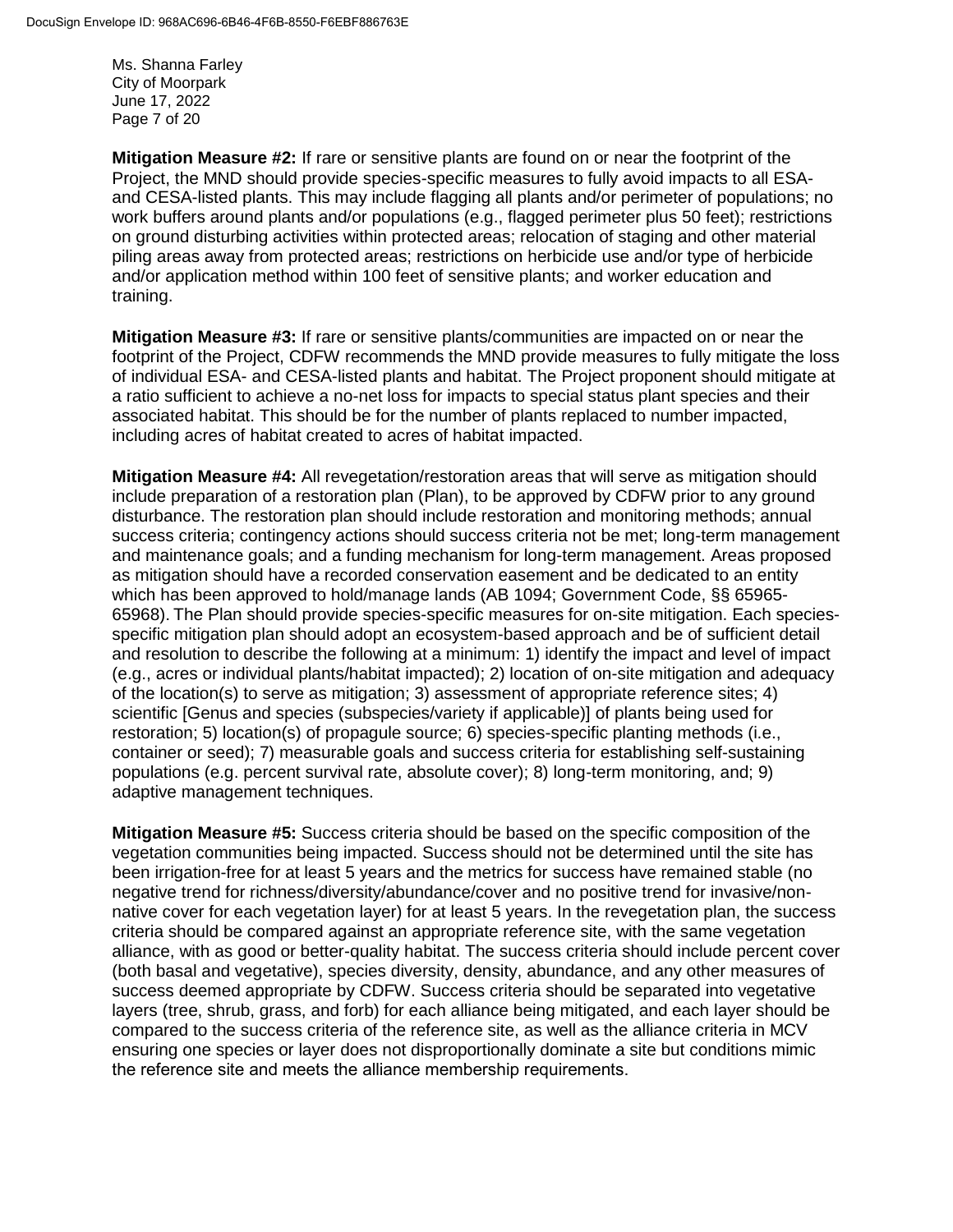Ms. Shanna Farley City of Moorpark June 17, 2022 Page 7 of 20

**Mitigation Measure #2:** If rare or sensitive plants are found on or near the footprint of the Project, the MND should provide species-specific measures to fully avoid impacts to all ESAand CESA-listed plants. This may include flagging all plants and/or perimeter of populations; no work buffers around plants and/or populations (e.g., flagged perimeter plus 50 feet); restrictions on ground disturbing activities within protected areas; relocation of staging and other material piling areas away from protected areas; restrictions on herbicide use and/or type of herbicide and/or application method within 100 feet of sensitive plants; and worker education and training.

**Mitigation Measure #3:** If rare or sensitive plants/communities are impacted on or near the footprint of the Project, CDFW recommends the MND provide measures to fully mitigate the loss of individual ESA- and CESA-listed plants and habitat. The Project proponent should mitigate at a ratio sufficient to achieve a no-net loss for impacts to special status plant species and their associated habitat. This should be for the number of plants replaced to number impacted, including acres of habitat created to acres of habitat impacted.

**Mitigation Measure #4:** All revegetation/restoration areas that will serve as mitigation should include preparation of a restoration plan (Plan), to be approved by CDFW prior to any ground disturbance. The restoration plan should include restoration and monitoring methods; annual success criteria; contingency actions should success criteria not be met; long-term management and maintenance goals; and a funding mechanism for long-term management. Areas proposed as mitigation should have a recorded conservation easement and be dedicated to an entity which has been approved to hold/manage lands (AB 1094; Government Code, §§ 65965- 65968). The Plan should provide species-specific measures for on-site mitigation. Each speciesspecific mitigation plan should adopt an ecosystem-based approach and be of sufficient detail and resolution to describe the following at a minimum: 1) identify the impact and level of impact (e.g., acres or individual plants/habitat impacted); 2) location of on-site mitigation and adequacy of the location(s) to serve as mitigation; 3) assessment of appropriate reference sites; 4) scientific [Genus and species (subspecies/variety if applicable)] of plants being used for restoration; 5) location(s) of propagule source; 6) species-specific planting methods (i.e., container or seed); 7) measurable goals and success criteria for establishing self-sustaining populations (e.g. percent survival rate, absolute cover); 8) long-term monitoring, and; 9) adaptive management techniques.

**Mitigation Measure #5:** Success criteria should be based on the specific composition of the vegetation communities being impacted. Success should not be determined until the site has been irrigation-free for at least 5 years and the metrics for success have remained stable (no negative trend for richness/diversity/abundance/cover and no positive trend for invasive/nonnative cover for each vegetation layer) for at least 5 years. In the revegetation plan, the success criteria should be compared against an appropriate reference site, with the same vegetation alliance, with as good or better-quality habitat. The success criteria should include percent cover (both basal and vegetative), species diversity, density, abundance, and any other measures of success deemed appropriate by CDFW. Success criteria should be separated into vegetative layers (tree, shrub, grass, and forb) for each alliance being mitigated, and each layer should be compared to the success criteria of the reference site, as well as the alliance criteria in MCV ensuring one species or layer does not disproportionally dominate a site but conditions mimic the reference site and meets the alliance membership requirements.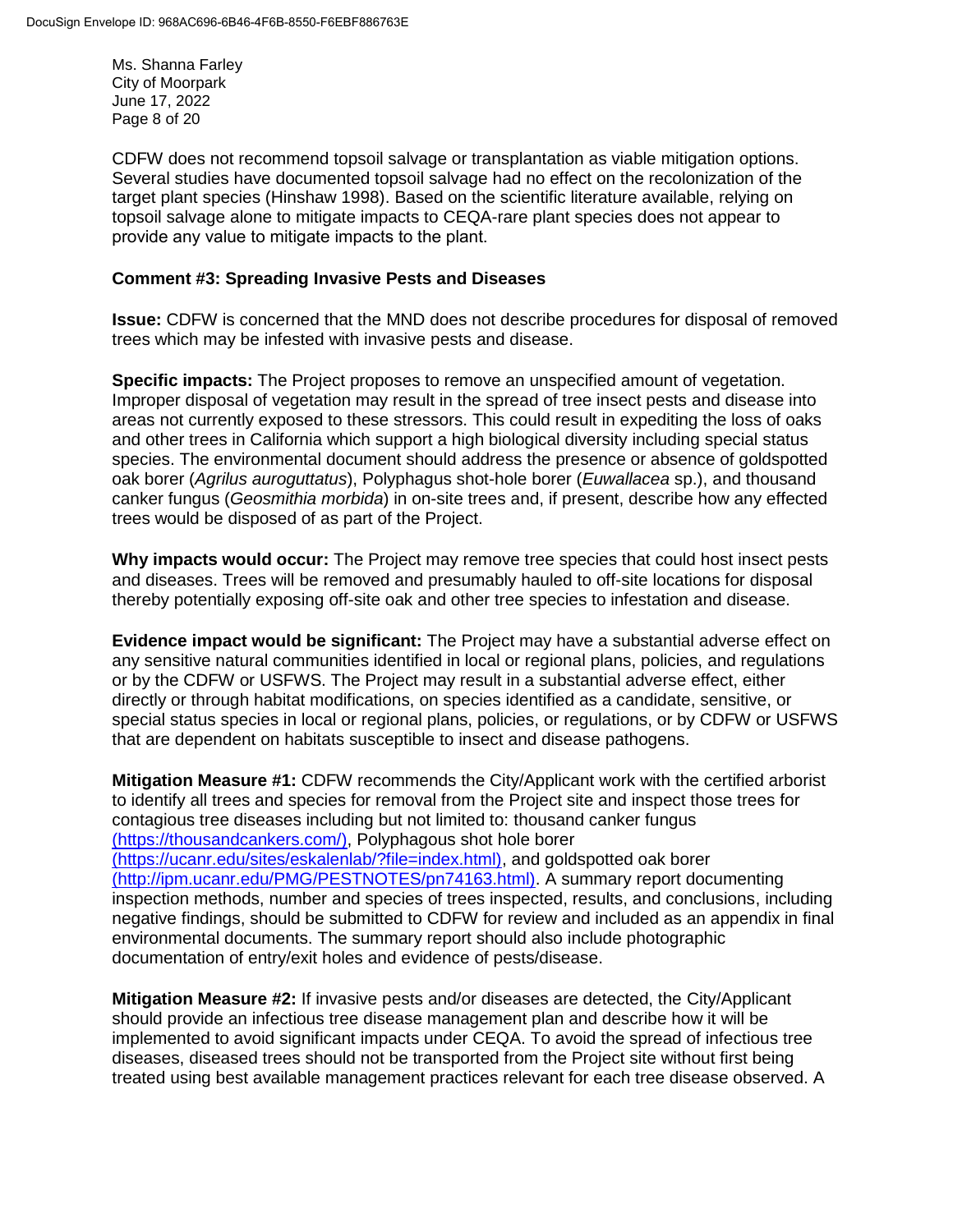Ms. Shanna Farley City of Moorpark June 17, 2022 Page 8 of 20

CDFW does not recommend topsoil salvage or transplantation as viable mitigation options. Several studies have documented topsoil salvage had no effect on the recolonization of the target plant species (Hinshaw 1998). Based on the scientific literature available, relying on topsoil salvage alone to mitigate impacts to CEQA-rare plant species does not appear to provide any value to mitigate impacts to the plant. 

#### **Comment #3: Spreading Invasive Pests and Diseases**

**Issue:** CDFW is concerned that the MND does not describe procedures for disposal of removed trees which may be infested with invasive pests and disease.

**Specific impacts:** The Project proposes to remove an unspecified amount of vegetation. Improper disposal of vegetation may result in the spread of tree insect pests and disease into areas not currently exposed to these stressors. This could result in expediting the loss of oaks and other trees in California which support a high biological diversity including special status species. The environmental document should address the presence or absence of goldspotted oak borer (*Agrilus auroguttatus*), Polyphagus shot-hole borer (*Euwallacea* sp.), and thousand canker fungus (*Geosmithia morbida*) in on-site trees and, if present, describe how any effected trees would be disposed of as part of the Project.

**Why impacts would occur:** The Project may remove tree species that could host insect pests and diseases. Trees will be removed and presumably hauled to off-site locations for disposal thereby potentially exposing off-site oak and other tree species to infestation and disease.

**Evidence impact would be significant:** The Project may have a substantial adverse effect on any sensitive natural communities identified in local or regional plans, policies, and regulations or by the CDFW or USFWS. The Project may result in a substantial adverse effect, either directly or through habitat modifications, on species identified as a candidate, sensitive, or special status species in local or regional plans, policies, or regulations, or by CDFW or USFWS that are dependent on habitats susceptible to insect and disease pathogens.

**Mitigation Measure #1: CDFW recommends the City/Applicant work with the certified arborist** to identify all trees and species for removal from the Project site and inspect those trees for contagious tree diseases including but not limited to: thousand canker fungus (https://thousandcankers.com/), Polyphagous shot hole borer (https://ucanr.edu/sites/eskalenlab/?file=index.html), and goldspotted oak borer (http://ipm.ucanr.edu/PMG/PESTNOTES/pn74163.html). A summary report documenting inspection methods, number and species of trees inspected, results, and conclusions, including negative findings, should be submitted to CDFW for review and included as an appendix in final environmental documents. The summary report should also include photographic documentation of entry/exit holes and evidence of pests/disease.

**Mitigation Measure #2:** If invasive pests and/or diseases are detected, the City/Applicant should provide an infectious tree disease management plan and describe how it will be implemented to avoid significant impacts under CEQA. To avoid the spread of infectious tree diseases, diseased trees should not be transported from the Project site without first being treated using best available management practices relevant for each tree disease observed. A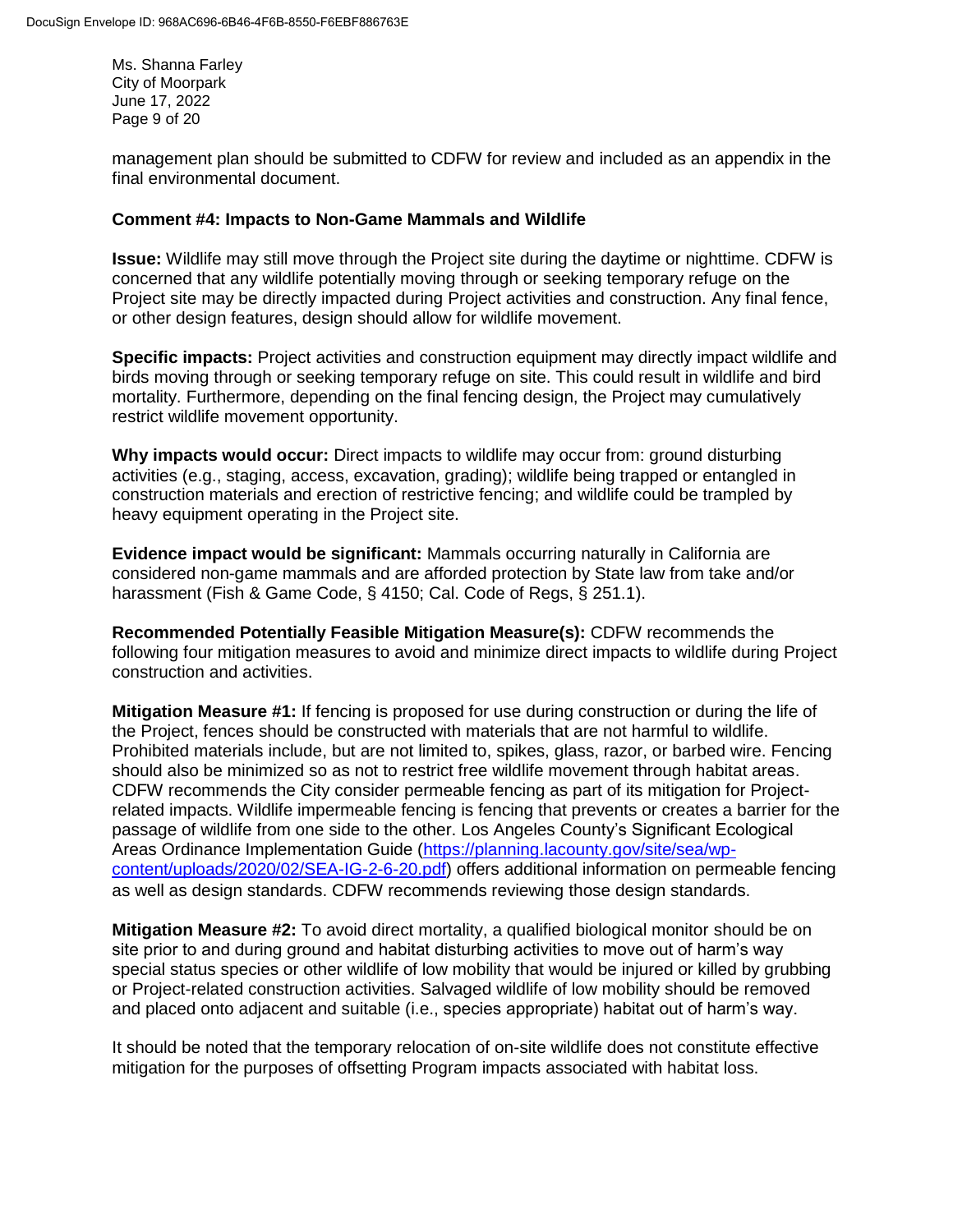Ms. Shanna Farley City of Moorpark June 17, 2022 Page 9 of 20

management plan should be submitted to CDFW for review and included as an appendix in the final environmental document.

#### **Comment #4: Impacts to Non-Game Mammals and Wildlife**

**Issue:** Wildlife may still move through the Project site during the daytime or nighttime. CDFW is concerned that any wildlife potentially moving through or seeking temporary refuge on the Project site may be directly impacted during Project activities and construction. Any final fence, or other design features, design should allow for wildlife movement.

**Specific impacts:** Project activities and construction equipment may directly impact wildlife and birds moving through or seeking temporary refuge on site. This could result in wildlife and bird mortality. Furthermore, depending on the final fencing design, the Project may cumulatively restrict wildlife movement opportunity.

**Why impacts would occur:** Direct impacts to wildlife may occur from: ground disturbing activities (e.g., staging, access, excavation, grading); wildlife being trapped or entangled in construction materials and erection of restrictive fencing; and wildlife could be trampled by heavy equipment operating in the Project site.

**Evidence impact would be significant:** Mammals occurring naturally in California are considered non-game mammals and are afforded protection by State law from take and/or harassment (Fish & Game Code, § 4150; Cal. Code of Regs, § 251.1).

**Recommended Potentially Feasible Mitigation Measure(s):** CDFW recommends the following four mitigation measures to avoid and minimize direct impacts to wildlife during Project construction and activities.

**Mitigation Measure #1:** If fencing is proposed for use during construction or during the life of the Project, fences should be constructed with materials that are not harmful to wildlife. Prohibited materials include, but are not limited to, spikes, glass, razor, or barbed wire. Fencing should also be minimized so as not to restrict free wildlife movement through habitat areas. CDFW recommends the City consider permeable fencing as part of its mitigation for Projectrelated impacts. Wildlife impermeable fencing is fencing that prevents or creates a barrier for the passage of wildlife from one side to the other. Los Angeles County's Significant Ecological Areas Ordinance Implementation Guide [\(https://planning.lacounty.gov/site/sea/wp](https://planning.lacounty.gov/site/sea/wp-content/uploads/2020/02/SEA-IG-2-6-20.pdf)[content/uploads/2020/02/SEA-IG-2-6-20.pdf\)](https://planning.lacounty.gov/site/sea/wp-content/uploads/2020/02/SEA-IG-2-6-20.pdf) offers additional information on permeable fencing as well as design standards. CDFW recommends reviewing those design standards.

**Mitigation Measure #2:** To avoid direct mortality, a qualified biological monitor should be on site prior to and during ground and habitat disturbing activities to move out of harm's way special status species or other wildlife of low mobility that would be injured or killed by grubbing or Project-related construction activities. Salvaged wildlife of low mobility should be removed and placed onto adjacent and suitable (i.e., species appropriate) habitat out of harm's way.

It should be noted that the temporary relocation of on-site wildlife does not constitute effective mitigation for the purposes of offsetting Program impacts associated with habitat loss.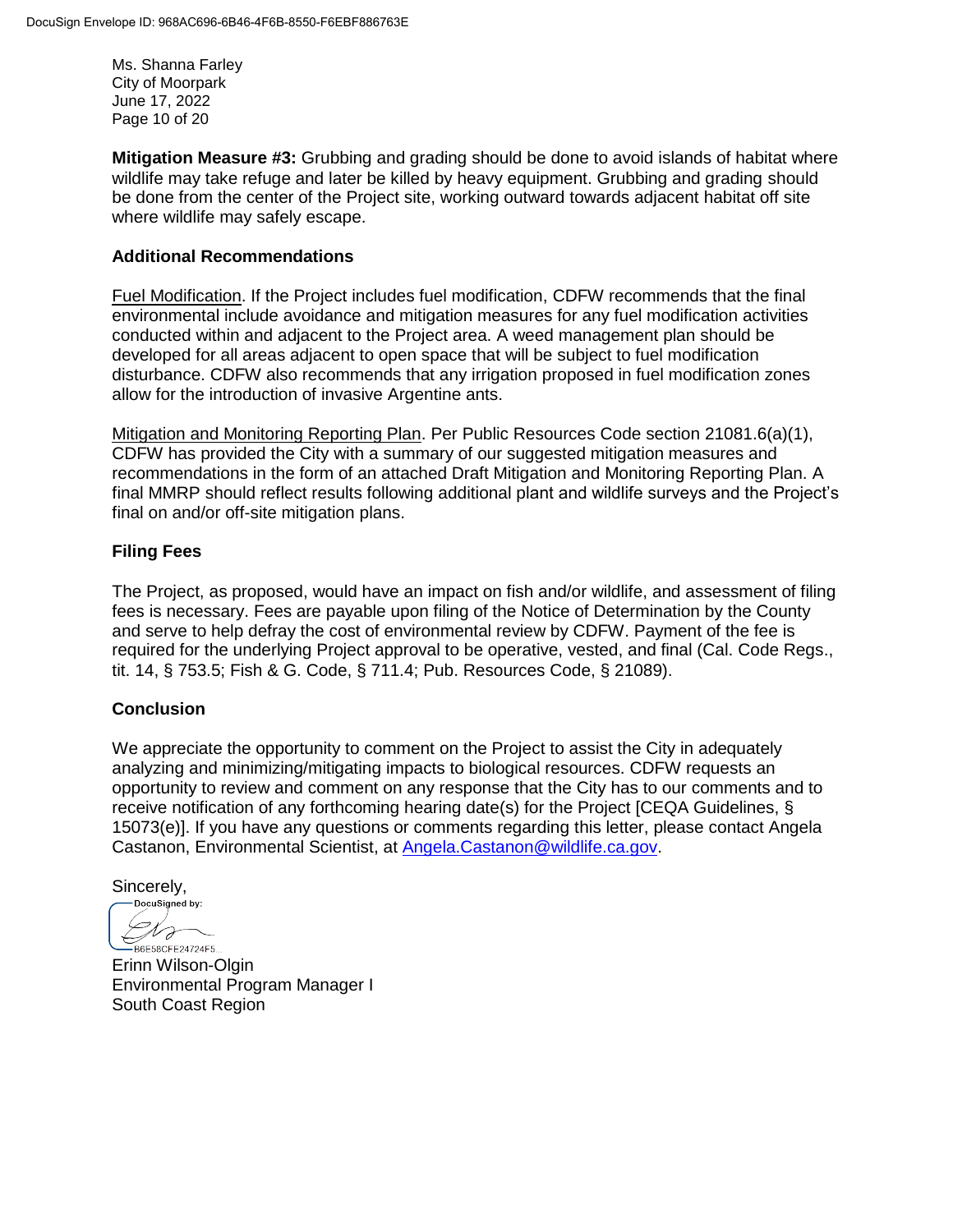Ms. Shanna Farley City of Moorpark June 17, 2022 Page 10 of 20

**Mitigation Measure #3:** Grubbing and grading should be done to avoid islands of habitat where wildlife may take refuge and later be killed by heavy equipment. Grubbing and grading should be done from the center of the Project site, working outward towards adjacent habitat off site where wildlife may safely escape.

## **Additional Recommendations**

Fuel Modification. If the Project includes fuel modification, CDFW recommends that the final environmental include avoidance and mitigation measures for any fuel modification activities conducted within and adjacent to the Project area. A weed management plan should be developed for all areas adjacent to open space that will be subject to fuel modification disturbance. CDFW also recommends that any irrigation proposed in fuel modification zones allow for the introduction of invasive Argentine ants.

Mitigation and Monitoring Reporting Plan. Per Public Resources Code section 21081.6(a)(1), CDFW has provided the City with a summary of our suggested mitigation measures and recommendations in the form of an attached Draft Mitigation and Monitoring Reporting Plan. A final MMRP should reflect results following additional plant and wildlife surveys and the Project's final on and/or off-site mitigation plans.

## **Filing Fees**

The Project, as proposed, would have an impact on fish and/or wildlife, and assessment of filing fees is necessary. Fees are payable upon filing of the Notice of Determination by the County and serve to help defray the cost of environmental review by CDFW. Payment of the fee is required for the underlying Project approval to be operative, vested, and final (Cal. Code Regs., tit. 14, § 753.5; Fish & G. Code, § 711.4; Pub. Resources Code, § 21089).

# **Conclusion**

We appreciate the opportunity to comment on the Project to assist the City in adequately analyzing and minimizing/mitigating impacts to biological resources. CDFW requests an opportunity to review and comment on any response that the City has to our comments and to receive notification of any forthcoming hearing date(s) for the Project [CEQA Guidelines, § 15073(e)]. If you have any questions or comments regarding this letter, please contact Angela Castanon, Environmental Scientist, at [Angela.Castanon@wildlife.ca.gov.](mailto:Angela.Castanon@wildlife.ca.gov)

Sincerely,

DocuSigned by: H F B6E58CFE24724F5...

Erinn Wilson-Olgin Environmental Program Manager I South Coast Region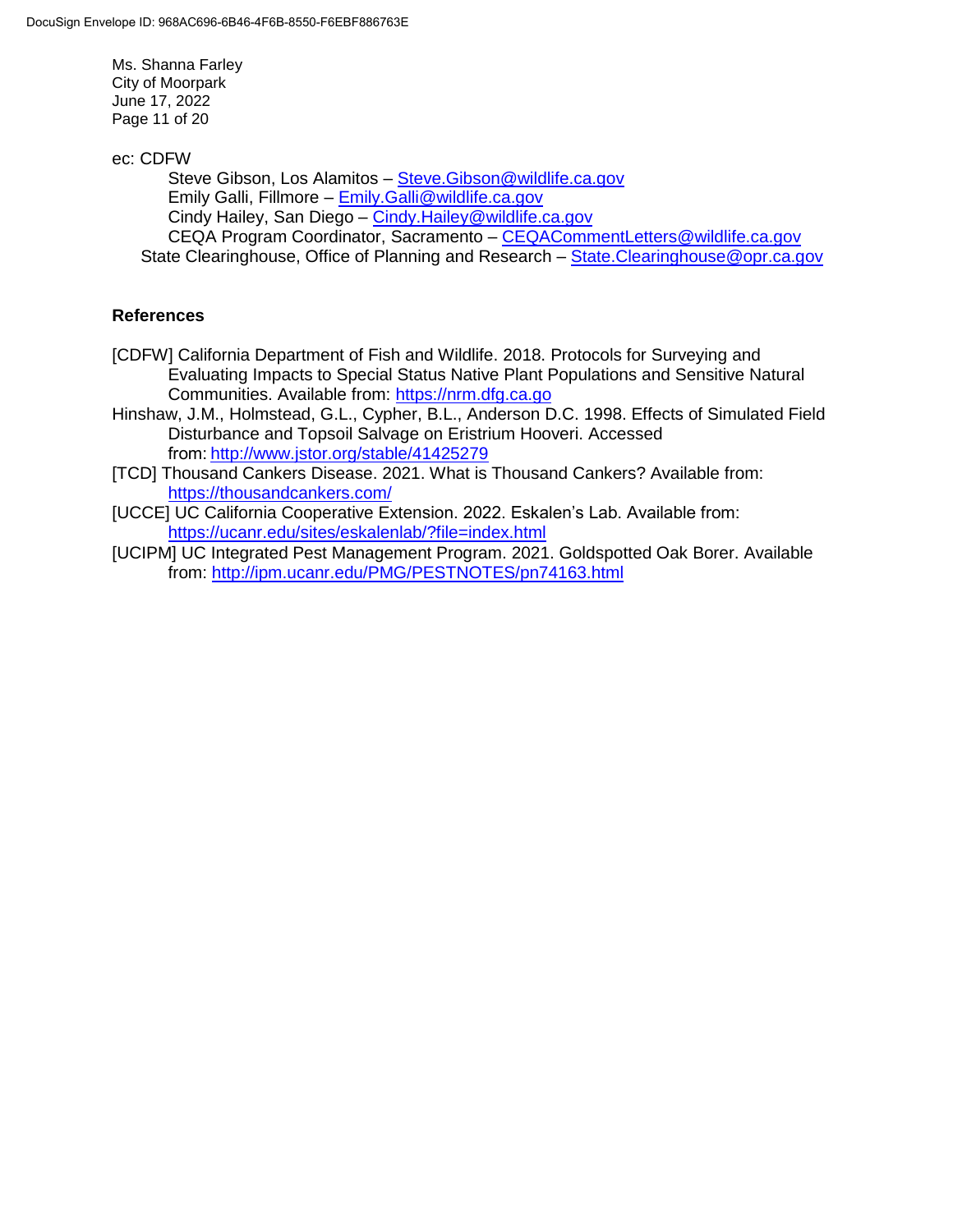Ms. Shanna Farley City of Moorpark June 17, 2022 Page 11 of 20

ec: CDFW

Steve Gibson, Los Alamitos - Steve. Gibson@wildlife.ca.gov Emily Galli, Fillmore – [Emily.Galli@wildlife.ca.gov](mailto:Emily.Galli@wildlife.ca.gov) Cindy Hailey, San Diego - Cindy. Hailey@wildlife.ca.gov CEQA Program Coordinator, Sacramento – [CEQACommentLetters@wildlife.ca.gov](mailto:CEQACommentLetters@wildlife.ca.gov)  State Clearinghouse, Office of Planning and Research - [State.Clearinghouse@opr.ca.gov](mailto:State.Clearinghouse@opr.ca.gov)

# **References**

- [CDFW] California Department of Fish and Wildlife. 2018. Protocols for Surveying and Evaluating Impacts to Special Status Native Plant Populations and Sensitive Natural Communities. Available from: [https://nrm.dfg.ca.go](https://nrm.dfg.ca.gov/FileHandler.ashx?DocumentID=18959&inline)
- Hinshaw, J.M., Holmstead, G.L., Cypher, B.L., Anderson D.C. 1998. Effects of Simulated Field Disturbance and Topsoil Salvage on Eristrium Hooveri. Accessed from: http://www.jstor.org/stable/41425279
- [TCD] Thousand Cankers Disease. 2021. What is Thousand Cankers? Available from: <https://thousandcankers.com/>
- [UCCE] UC California Cooperative Extension. 2022. Eskalen's Lab. Available from: <https://ucanr.edu/sites/eskalenlab/?file=index.html>
- [UCIPM] UC Integrated Pest Management Program. 2021. Goldspotted Oak Borer. Available from:<http://ipm.ucanr.edu/PMG/PESTNOTES/pn74163.html>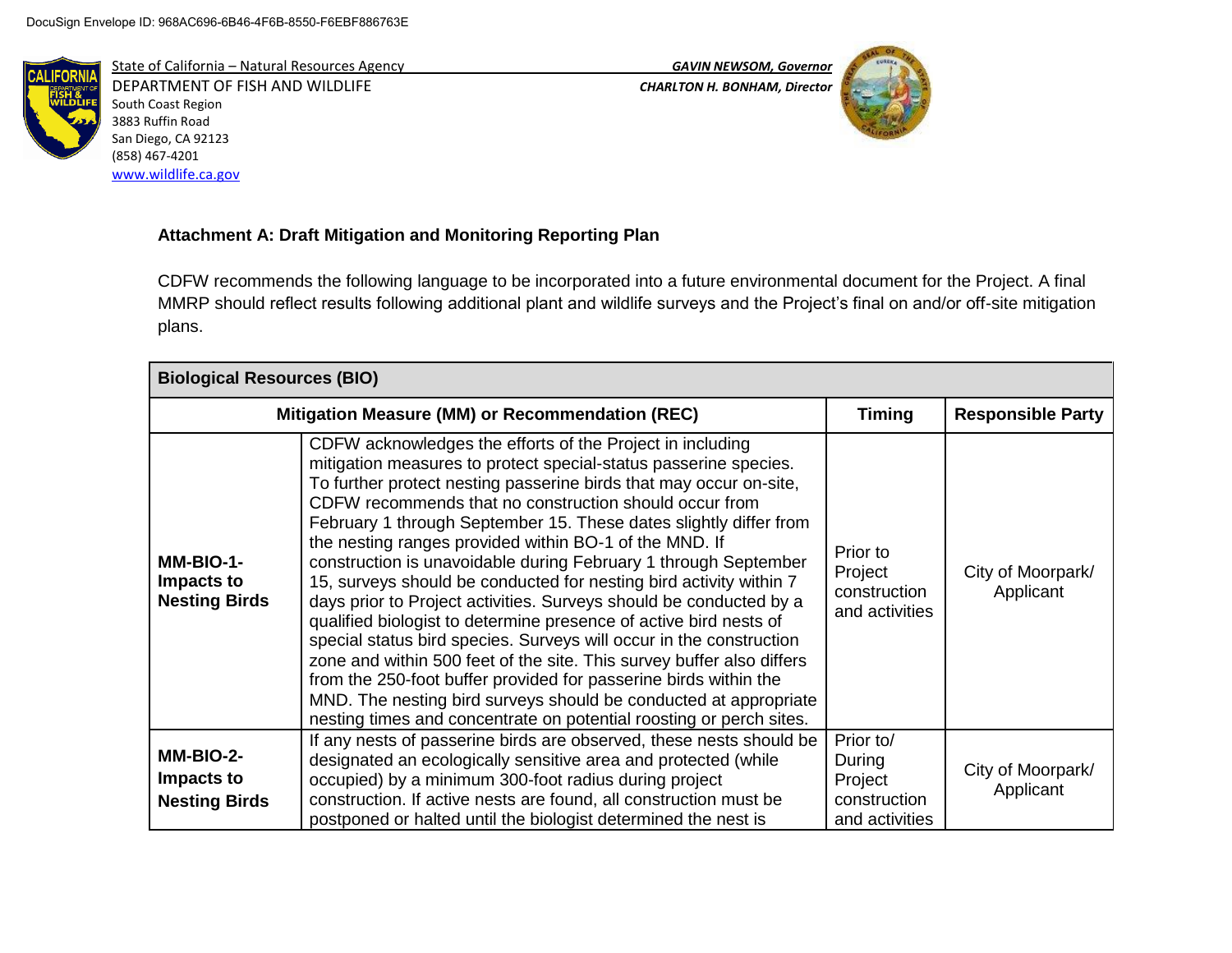

State of California – Natural Resources Agency *GAVIN NEWSOM, Governor* DEPARTMENT OF FISH AND WILDLIFE *CHARLTON H. BONHAM, Director*  South Coast Region 3883 Ruffin Road San Diego, CA 92123 (858) 467-4201 [www.wildlife.ca.gov](http://www.wildlife.ca.gov/)



# **Attachment A: Draft Mitigation and Monitoring Reporting Plan**

CDFW recommends the following language to be incorporated into a future environmental document for the Project. A final MMRP should reflect results following additional plant and wildlife surveys and the Project's final on and/or off-site mitigation plans.

| <b>Biological Resources (BIO)</b>               |                                                                                                                                                                                                                                                                                                                                                                                                                                                                                                                                                                                                                                                                                                                                                                                                                                                                                                                                                                                                                                                 |                                                       |                                |
|-------------------------------------------------|-------------------------------------------------------------------------------------------------------------------------------------------------------------------------------------------------------------------------------------------------------------------------------------------------------------------------------------------------------------------------------------------------------------------------------------------------------------------------------------------------------------------------------------------------------------------------------------------------------------------------------------------------------------------------------------------------------------------------------------------------------------------------------------------------------------------------------------------------------------------------------------------------------------------------------------------------------------------------------------------------------------------------------------------------|-------------------------------------------------------|--------------------------------|
|                                                 | Mitigation Measure (MM) or Recommendation (REC)                                                                                                                                                                                                                                                                                                                                                                                                                                                                                                                                                                                                                                                                                                                                                                                                                                                                                                                                                                                                 | <b>Timing</b>                                         | <b>Responsible Party</b>       |
| MM-BIO-1-<br>Impacts to<br><b>Nesting Birds</b> | CDFW acknowledges the efforts of the Project in including<br>mitigation measures to protect special-status passerine species.<br>To further protect nesting passerine birds that may occur on-site,<br>CDFW recommends that no construction should occur from<br>February 1 through September 15. These dates slightly differ from<br>the nesting ranges provided within BO-1 of the MND. If<br>construction is unavoidable during February 1 through September<br>15, surveys should be conducted for nesting bird activity within 7<br>days prior to Project activities. Surveys should be conducted by a<br>qualified biologist to determine presence of active bird nests of<br>special status bird species. Surveys will occur in the construction<br>zone and within 500 feet of the site. This survey buffer also differs<br>from the 250-foot buffer provided for passerine birds within the<br>MND. The nesting bird surveys should be conducted at appropriate<br>nesting times and concentrate on potential roosting or perch sites. | Prior to<br>Project<br>construction<br>and activities | City of Moorpark/<br>Applicant |
| MM-BIO-2-                                       | If any nests of passerine birds are observed, these nests should be<br>designated an ecologically sensitive area and protected (while                                                                                                                                                                                                                                                                                                                                                                                                                                                                                                                                                                                                                                                                                                                                                                                                                                                                                                           | Prior to/<br>During                                   | City of Moorpark/              |
| Impacts to<br><b>Nesting Birds</b>              | occupied) by a minimum 300-foot radius during project<br>construction. If active nests are found, all construction must be<br>postponed or halted until the biologist determined the nest is                                                                                                                                                                                                                                                                                                                                                                                                                                                                                                                                                                                                                                                                                                                                                                                                                                                    | Project<br>construction<br>and activities             | Applicant                      |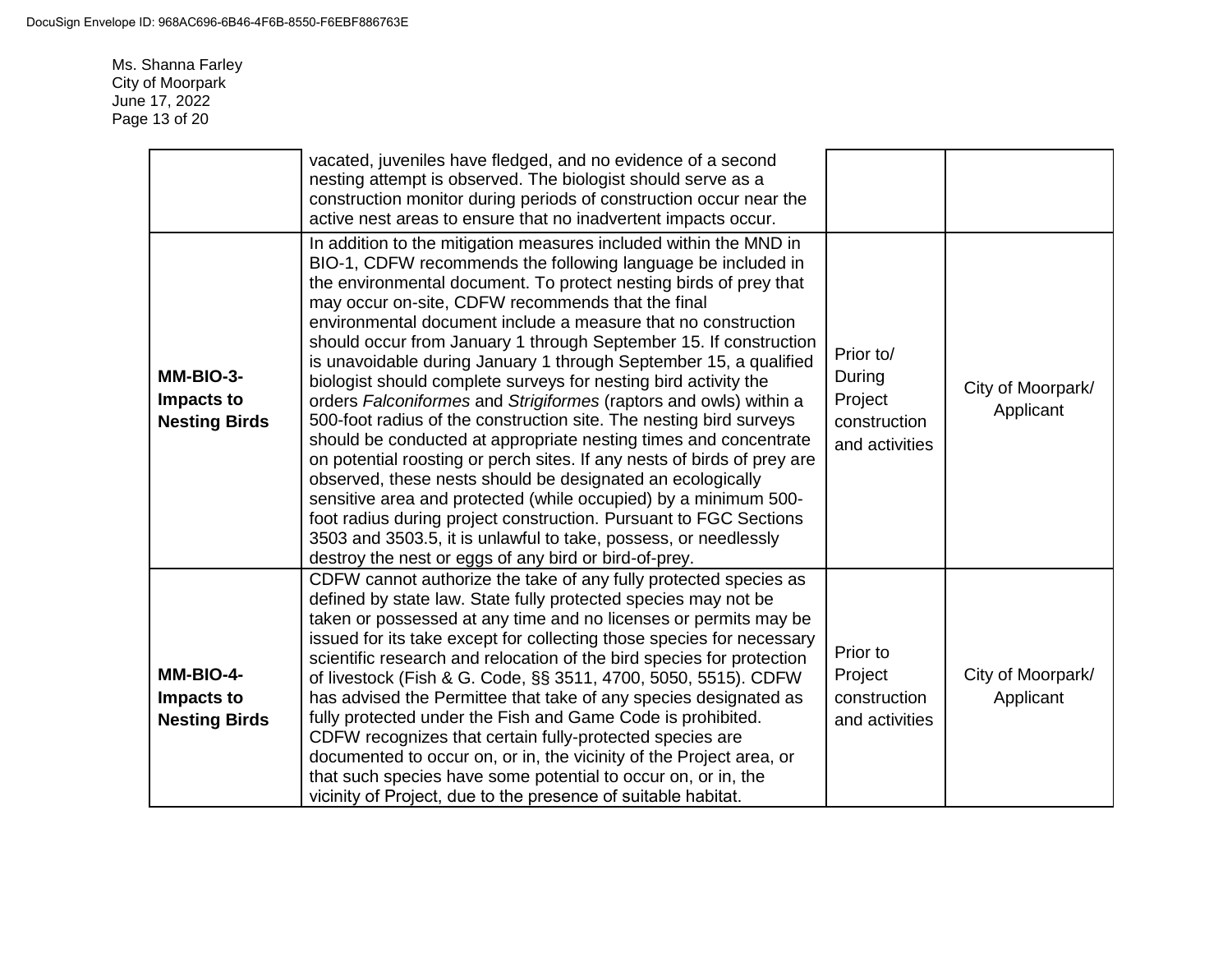Ms. Shanna Farley City of Moorpark June 17, 2022 Page 13 of 20

|                                                 | vacated, juveniles have fledged, and no evidence of a second<br>nesting attempt is observed. The biologist should serve as a<br>construction monitor during periods of construction occur near the<br>active nest areas to ensure that no inadvertent impacts occur.                                                                                                                                                                                                                                                                                                                                                                                                                                                                                                                                                                                                                                                                                                                                                                                                                                                                                                  |                                                                  |                                |
|-------------------------------------------------|-----------------------------------------------------------------------------------------------------------------------------------------------------------------------------------------------------------------------------------------------------------------------------------------------------------------------------------------------------------------------------------------------------------------------------------------------------------------------------------------------------------------------------------------------------------------------------------------------------------------------------------------------------------------------------------------------------------------------------------------------------------------------------------------------------------------------------------------------------------------------------------------------------------------------------------------------------------------------------------------------------------------------------------------------------------------------------------------------------------------------------------------------------------------------|------------------------------------------------------------------|--------------------------------|
| MM-BIO-3-<br>Impacts to<br><b>Nesting Birds</b> | In addition to the mitigation measures included within the MND in<br>BIO-1, CDFW recommends the following language be included in<br>the environmental document. To protect nesting birds of prey that<br>may occur on-site, CDFW recommends that the final<br>environmental document include a measure that no construction<br>should occur from January 1 through September 15. If construction<br>is unavoidable during January 1 through September 15, a qualified<br>biologist should complete surveys for nesting bird activity the<br>orders Falconiformes and Strigiformes (raptors and owls) within a<br>500-foot radius of the construction site. The nesting bird surveys<br>should be conducted at appropriate nesting times and concentrate<br>on potential roosting or perch sites. If any nests of birds of prey are<br>observed, these nests should be designated an ecologically<br>sensitive area and protected (while occupied) by a minimum 500-<br>foot radius during project construction. Pursuant to FGC Sections<br>3503 and 3503.5, it is unlawful to take, possess, or needlessly<br>destroy the nest or eggs of any bird or bird-of-prey. | Prior to/<br>During<br>Project<br>construction<br>and activities | City of Moorpark/<br>Applicant |
| MM-BIO-4-<br>Impacts to<br><b>Nesting Birds</b> | CDFW cannot authorize the take of any fully protected species as<br>defined by state law. State fully protected species may not be<br>taken or possessed at any time and no licenses or permits may be<br>issued for its take except for collecting those species for necessary<br>scientific research and relocation of the bird species for protection<br>of livestock (Fish & G. Code, §§ 3511, 4700, 5050, 5515). CDFW<br>has advised the Permittee that take of any species designated as<br>fully protected under the Fish and Game Code is prohibited.<br>CDFW recognizes that certain fully-protected species are<br>documented to occur on, or in, the vicinity of the Project area, or<br>that such species have some potential to occur on, or in, the<br>vicinity of Project, due to the presence of suitable habitat.                                                                                                                                                                                                                                                                                                                                    | Prior to<br>Project<br>construction<br>and activities            | City of Moorpark/<br>Applicant |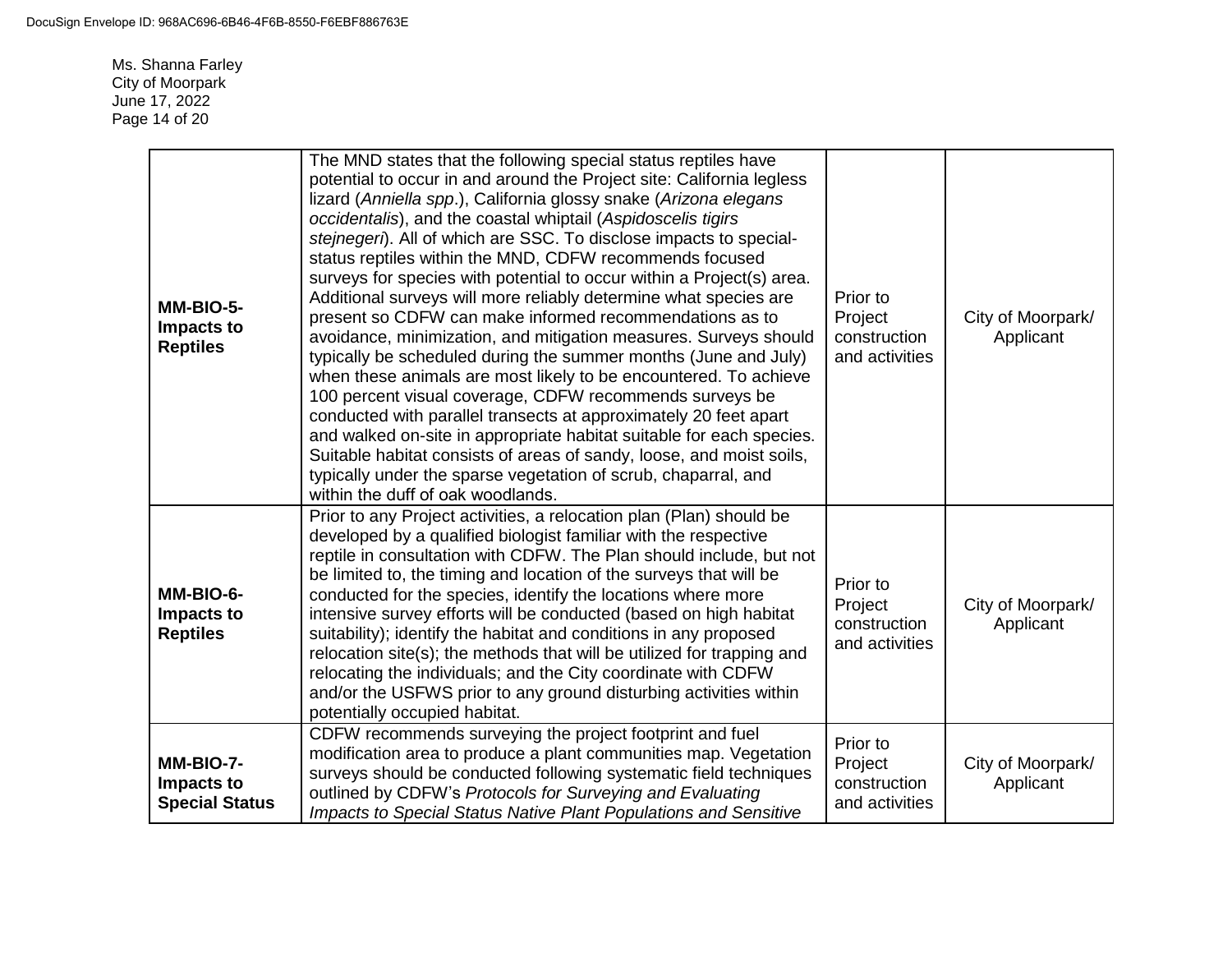Ms. Shanna Farley City of Moorpark June 17, 2022 Page 14 of 20

| MM-BIO-5-<br>Impacts to<br><b>Reptiles</b>       | The MND states that the following special status reptiles have<br>potential to occur in and around the Project site: California legless<br>lizard (Anniella spp.), California glossy snake (Arizona elegans<br>occidentalis), and the coastal whiptail (Aspidoscelis tigirs<br>stejnegeri). All of which are SSC. To disclose impacts to special-<br>status reptiles within the MND, CDFW recommends focused<br>surveys for species with potential to occur within a Project(s) area.<br>Additional surveys will more reliably determine what species are<br>present so CDFW can make informed recommendations as to<br>avoidance, minimization, and mitigation measures. Surveys should<br>typically be scheduled during the summer months (June and July)<br>when these animals are most likely to be encountered. To achieve<br>100 percent visual coverage, CDFW recommends surveys be<br>conducted with parallel transects at approximately 20 feet apart<br>and walked on-site in appropriate habitat suitable for each species.<br>Suitable habitat consists of areas of sandy, loose, and moist soils,<br>typically under the sparse vegetation of scrub, chaparral, and<br>within the duff of oak woodlands. | Prior to<br>Project<br>construction<br>and activities | City of Moorpark/<br>Applicant |
|--------------------------------------------------|-----------------------------------------------------------------------------------------------------------------------------------------------------------------------------------------------------------------------------------------------------------------------------------------------------------------------------------------------------------------------------------------------------------------------------------------------------------------------------------------------------------------------------------------------------------------------------------------------------------------------------------------------------------------------------------------------------------------------------------------------------------------------------------------------------------------------------------------------------------------------------------------------------------------------------------------------------------------------------------------------------------------------------------------------------------------------------------------------------------------------------------------------------------------------------------------------------------------------|-------------------------------------------------------|--------------------------------|
| MM-BIO-6-<br>Impacts to<br><b>Reptiles</b>       | Prior to any Project activities, a relocation plan (Plan) should be<br>developed by a qualified biologist familiar with the respective<br>reptile in consultation with CDFW. The Plan should include, but not<br>be limited to, the timing and location of the surveys that will be<br>conducted for the species, identify the locations where more<br>intensive survey efforts will be conducted (based on high habitat<br>suitability); identify the habitat and conditions in any proposed<br>relocation site(s); the methods that will be utilized for trapping and<br>relocating the individuals; and the City coordinate with CDFW<br>and/or the USFWS prior to any ground disturbing activities within<br>potentially occupied habitat.                                                                                                                                                                                                                                                                                                                                                                                                                                                                        | Prior to<br>Project<br>construction<br>and activities | City of Moorpark/<br>Applicant |
| MM-BIO-7-<br>Impacts to<br><b>Special Status</b> | CDFW recommends surveying the project footprint and fuel<br>modification area to produce a plant communities map. Vegetation<br>surveys should be conducted following systematic field techniques<br>outlined by CDFW's Protocols for Surveying and Evaluating<br>Impacts to Special Status Native Plant Populations and Sensitive                                                                                                                                                                                                                                                                                                                                                                                                                                                                                                                                                                                                                                                                                                                                                                                                                                                                                    | Prior to<br>Project<br>construction<br>and activities | City of Moorpark/<br>Applicant |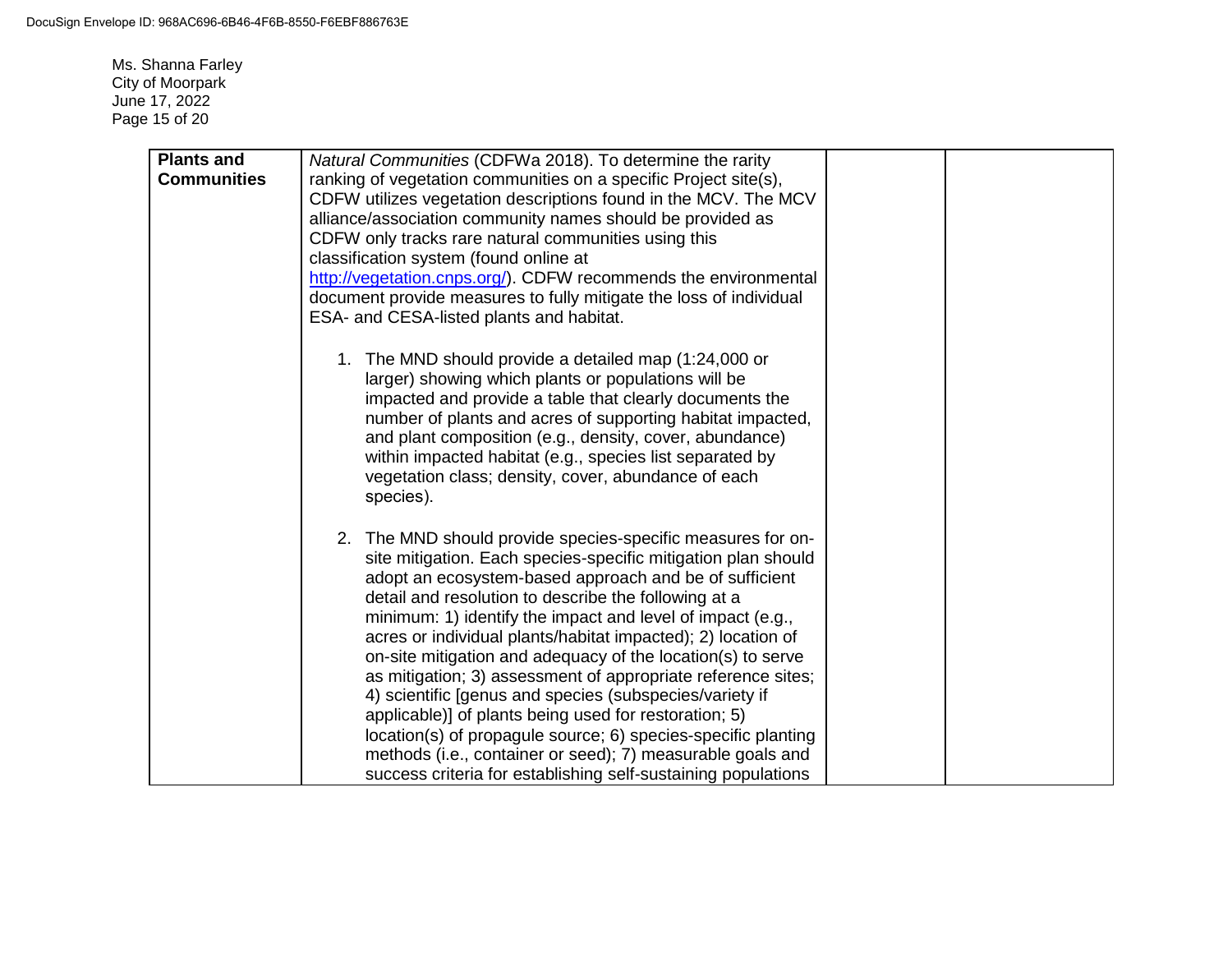Ms. Shanna Farley City of Moorpark June 17, 2022 Page 15 of 20

| <b>Plants and</b>  | Natural Communities (CDFWa 2018). To determine the rarity          |
|--------------------|--------------------------------------------------------------------|
| <b>Communities</b> | ranking of vegetation communities on a specific Project site(s),   |
|                    | CDFW utilizes vegetation descriptions found in the MCV. The MCV    |
|                    | alliance/association community names should be provided as         |
|                    | CDFW only tracks rare natural communities using this               |
|                    | classification system (found online at                             |
|                    | http://vegetation.cnps.org/). CDFW recommends the environmental    |
|                    | document provide measures to fully mitigate the loss of individual |
|                    | ESA- and CESA-listed plants and habitat.                           |
|                    |                                                                    |
|                    | 1. The MND should provide a detailed map (1:24,000 or              |
|                    | larger) showing which plants or populations will be                |
|                    | impacted and provide a table that clearly documents the            |
|                    | number of plants and acres of supporting habitat impacted,         |
|                    | and plant composition (e.g., density, cover, abundance)            |
|                    | within impacted habitat (e.g., species list separated by           |
|                    | vegetation class; density, cover, abundance of each                |
|                    | species).                                                          |
|                    |                                                                    |
|                    | 2. The MND should provide species-specific measures for on-        |
|                    | site mitigation. Each species-specific mitigation plan should      |
|                    | adopt an ecosystem-based approach and be of sufficient             |
|                    | detail and resolution to describe the following at a               |
|                    | minimum: 1) identify the impact and level of impact (e.g.,         |
|                    | acres or individual plants/habitat impacted); 2) location of       |
|                    | on-site mitigation and adequacy of the location(s) to serve        |
|                    | as mitigation; 3) assessment of appropriate reference sites;       |
|                    | 4) scientific [genus and species (subspecies/variety if            |
|                    | applicable)] of plants being used for restoration; 5)              |
|                    | location(s) of propagule source; 6) species-specific planting      |
|                    | methods (i.e., container or seed); 7) measurable goals and         |
|                    | success criteria for establishing self-sustaining populations      |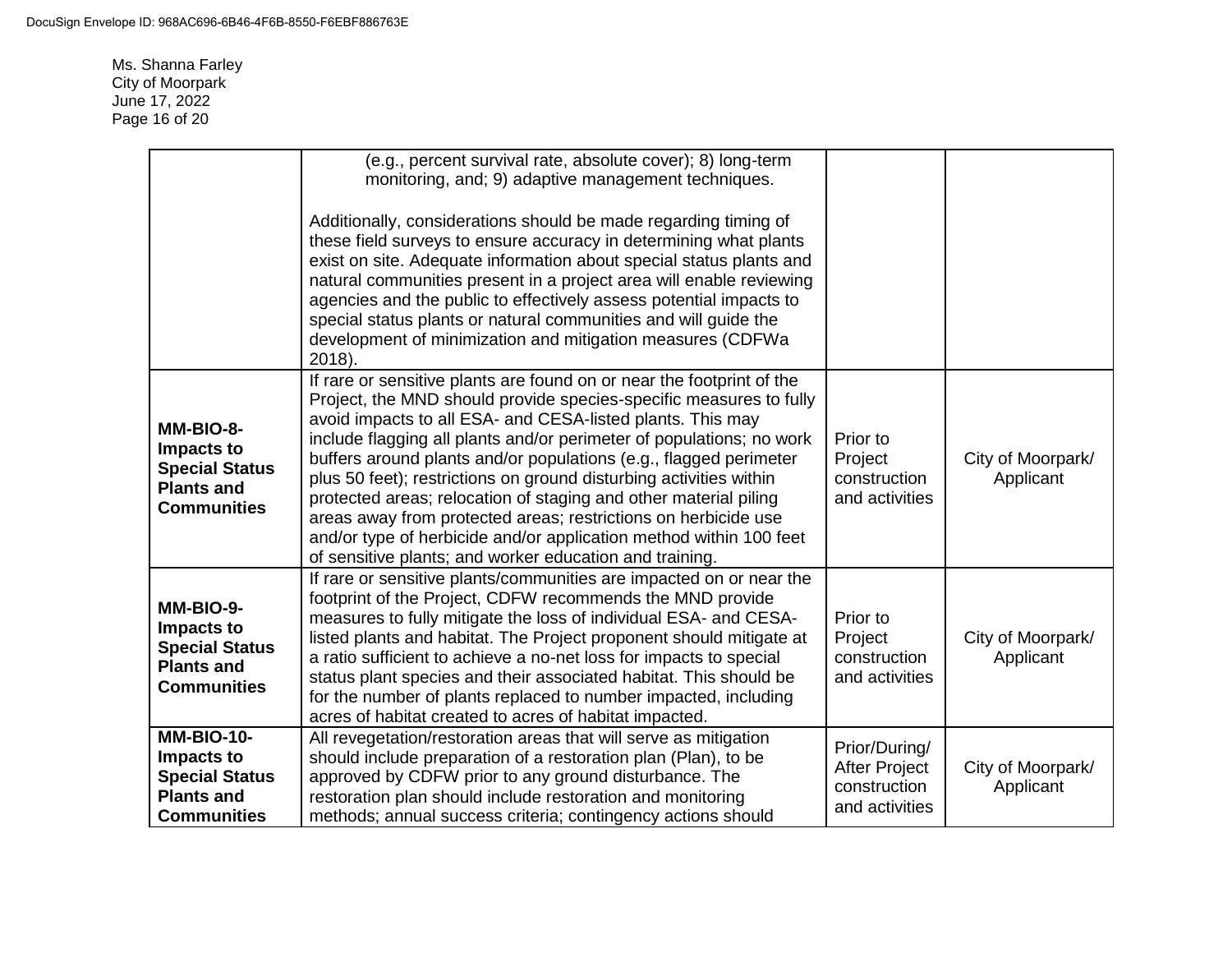Ms. Shanna Farley City of Moorpark June 17, 2022 Page 16 of 20

|                                                                                                | (e.g., percent survival rate, absolute cover); 8) long-term<br>monitoring, and; 9) adaptive management techniques.<br>Additionally, considerations should be made regarding timing of<br>these field surveys to ensure accuracy in determining what plants<br>exist on site. Adequate information about special status plants and<br>natural communities present in a project area will enable reviewing<br>agencies and the public to effectively assess potential impacts to<br>special status plants or natural communities and will guide the<br>development of minimization and mitigation measures (CDFWa<br>2018).                                                                           |                                                                         |                                |
|------------------------------------------------------------------------------------------------|-----------------------------------------------------------------------------------------------------------------------------------------------------------------------------------------------------------------------------------------------------------------------------------------------------------------------------------------------------------------------------------------------------------------------------------------------------------------------------------------------------------------------------------------------------------------------------------------------------------------------------------------------------------------------------------------------------|-------------------------------------------------------------------------|--------------------------------|
| MM-BIO-8-<br>Impacts to<br><b>Special Status</b><br><b>Plants and</b><br><b>Communities</b>    | If rare or sensitive plants are found on or near the footprint of the<br>Project, the MND should provide species-specific measures to fully<br>avoid impacts to all ESA- and CESA-listed plants. This may<br>include flagging all plants and/or perimeter of populations; no work<br>buffers around plants and/or populations (e.g., flagged perimeter<br>plus 50 feet); restrictions on ground disturbing activities within<br>protected areas; relocation of staging and other material piling<br>areas away from protected areas; restrictions on herbicide use<br>and/or type of herbicide and/or application method within 100 feet<br>of sensitive plants; and worker education and training. | Prior to<br>Project<br>construction<br>and activities                   | City of Moorpark/<br>Applicant |
| MM-BIO-9-<br>Impacts to<br><b>Special Status</b><br><b>Plants and</b><br><b>Communities</b>    | If rare or sensitive plants/communities are impacted on or near the<br>footprint of the Project, CDFW recommends the MND provide<br>measures to fully mitigate the loss of individual ESA- and CESA-<br>listed plants and habitat. The Project proponent should mitigate at<br>a ratio sufficient to achieve a no-net loss for impacts to special<br>status plant species and their associated habitat. This should be<br>for the number of plants replaced to number impacted, including<br>acres of habitat created to acres of habitat impacted.                                                                                                                                                 | Prior to<br>Project<br>construction<br>and activities                   | City of Moorpark/<br>Applicant |
| $MM-BIO-10-$<br>Impacts to<br><b>Special Status</b><br><b>Plants and</b><br><b>Communities</b> | All revegetation/restoration areas that will serve as mitigation<br>should include preparation of a restoration plan (Plan), to be<br>approved by CDFW prior to any ground disturbance. The<br>restoration plan should include restoration and monitoring<br>methods; annual success criteria; contingency actions should                                                                                                                                                                                                                                                                                                                                                                           | Prior/During/<br><b>After Project</b><br>construction<br>and activities | City of Moorpark/<br>Applicant |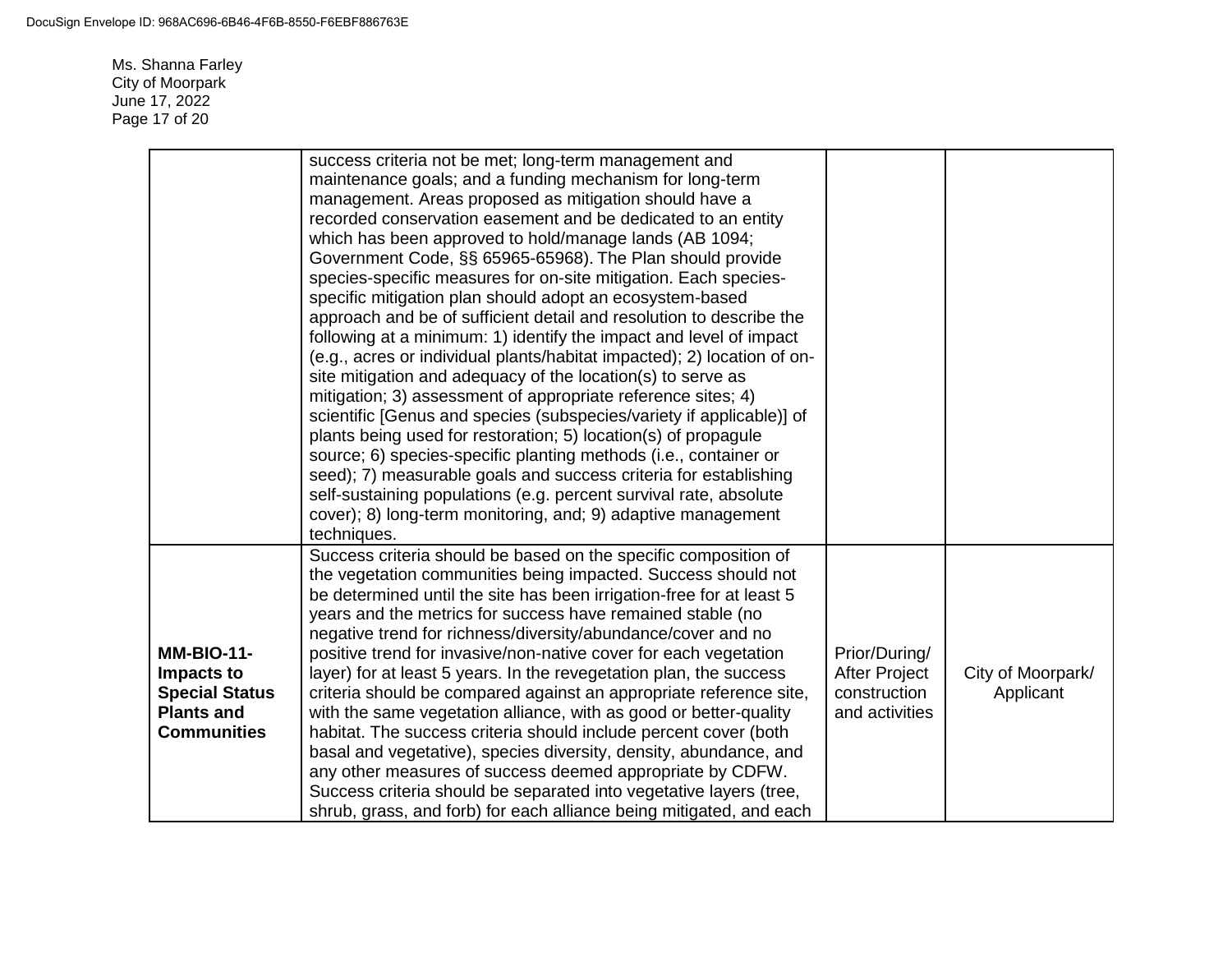Ms. Shanna Farley City of Moorpark June 17, 2022 Page 17 of 20

|                                                                                                     | success criteria not be met; long-term management and<br>maintenance goals; and a funding mechanism for long-term<br>management. Areas proposed as mitigation should have a<br>recorded conservation easement and be dedicated to an entity<br>which has been approved to hold/manage lands (AB 1094;<br>Government Code, §§ 65965-65968). The Plan should provide<br>species-specific measures for on-site mitigation. Each species-<br>specific mitigation plan should adopt an ecosystem-based<br>approach and be of sufficient detail and resolution to describe the<br>following at a minimum: 1) identify the impact and level of impact<br>(e.g., acres or individual plants/habitat impacted); 2) location of on-<br>site mitigation and adequacy of the location(s) to serve as<br>mitigation; 3) assessment of appropriate reference sites; 4)                                                                                                                       |                                                                         |                                |
|-----------------------------------------------------------------------------------------------------|--------------------------------------------------------------------------------------------------------------------------------------------------------------------------------------------------------------------------------------------------------------------------------------------------------------------------------------------------------------------------------------------------------------------------------------------------------------------------------------------------------------------------------------------------------------------------------------------------------------------------------------------------------------------------------------------------------------------------------------------------------------------------------------------------------------------------------------------------------------------------------------------------------------------------------------------------------------------------------|-------------------------------------------------------------------------|--------------------------------|
|                                                                                                     | scientific [Genus and species (subspecies/variety if applicable)] of<br>plants being used for restoration; 5) location(s) of propagule<br>source; 6) species-specific planting methods (i.e., container or<br>seed); 7) measurable goals and success criteria for establishing                                                                                                                                                                                                                                                                                                                                                                                                                                                                                                                                                                                                                                                                                                 |                                                                         |                                |
|                                                                                                     | self-sustaining populations (e.g. percent survival rate, absolute<br>cover); 8) long-term monitoring, and; 9) adaptive management<br>techniques.                                                                                                                                                                                                                                                                                                                                                                                                                                                                                                                                                                                                                                                                                                                                                                                                                               |                                                                         |                                |
| <b>MM-BIO-11-</b><br>Impacts to<br><b>Special Status</b><br><b>Plants and</b><br><b>Communities</b> | Success criteria should be based on the specific composition of<br>the vegetation communities being impacted. Success should not<br>be determined until the site has been irrigation-free for at least 5<br>years and the metrics for success have remained stable (no<br>negative trend for richness/diversity/abundance/cover and no<br>positive trend for invasive/non-native cover for each vegetation<br>layer) for at least 5 years. In the revegetation plan, the success<br>criteria should be compared against an appropriate reference site,<br>with the same vegetation alliance, with as good or better-quality<br>habitat. The success criteria should include percent cover (both<br>basal and vegetative), species diversity, density, abundance, and<br>any other measures of success deemed appropriate by CDFW.<br>Success criteria should be separated into vegetative layers (tree,<br>shrub, grass, and forb) for each alliance being mitigated, and each | Prior/During/<br><b>After Project</b><br>construction<br>and activities | City of Moorpark/<br>Applicant |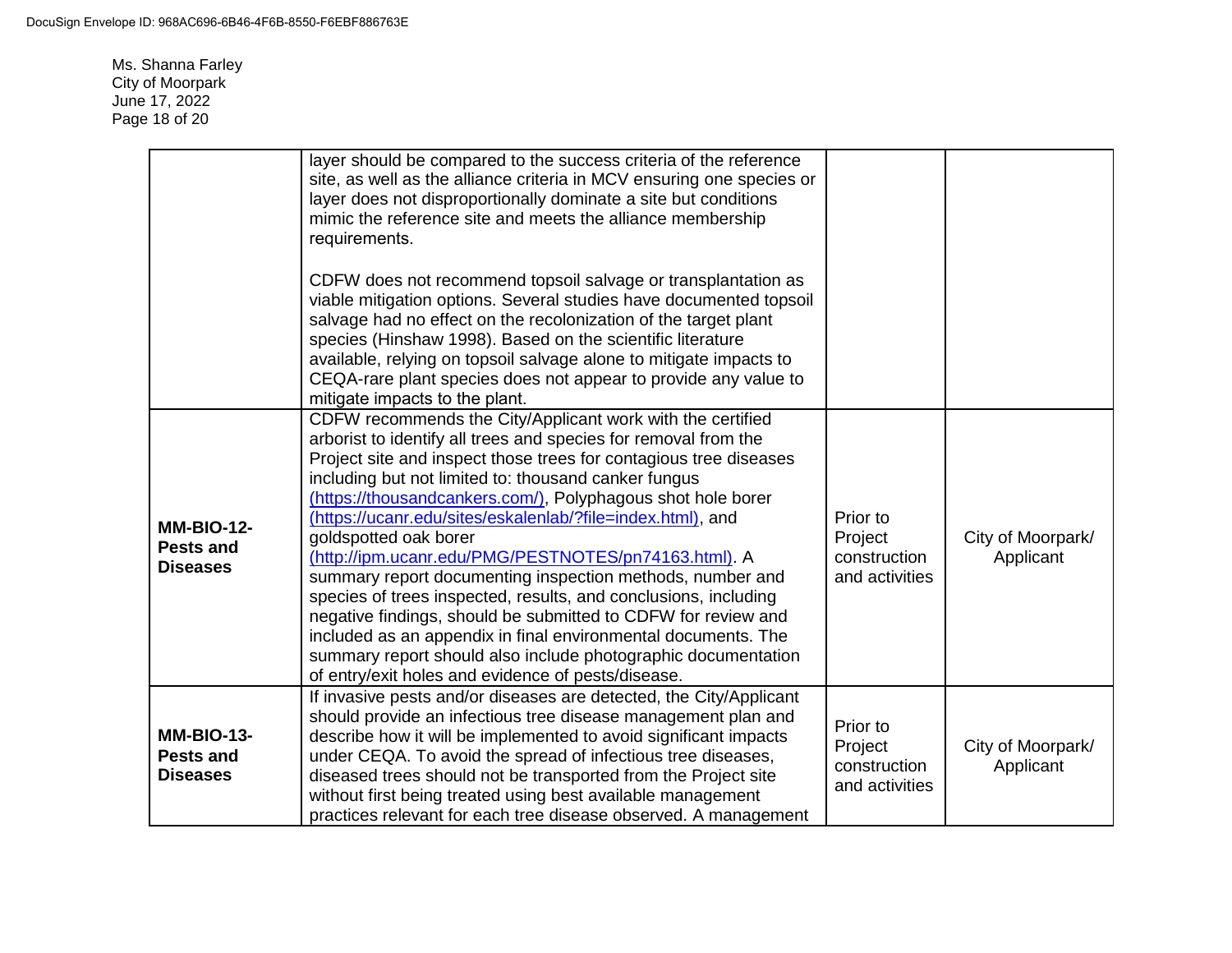Ms. Shanna Farley City of Moorpark June 17, 2022 Page 18 of 20

|                                                          | layer should be compared to the success criteria of the reference<br>site, as well as the alliance criteria in MCV ensuring one species or<br>layer does not disproportionally dominate a site but conditions<br>mimic the reference site and meets the alliance membership<br>requirements.<br>CDFW does not recommend topsoil salvage or transplantation as<br>viable mitigation options. Several studies have documented topsoil<br>salvage had no effect on the recolonization of the target plant<br>species (Hinshaw 1998). Based on the scientific literature<br>available, relying on topsoil salvage alone to mitigate impacts to<br>CEQA-rare plant species does not appear to provide any value to<br>mitigate impacts to the plant.                                                                                                                   |                                                       |                                |
|----------------------------------------------------------|-------------------------------------------------------------------------------------------------------------------------------------------------------------------------------------------------------------------------------------------------------------------------------------------------------------------------------------------------------------------------------------------------------------------------------------------------------------------------------------------------------------------------------------------------------------------------------------------------------------------------------------------------------------------------------------------------------------------------------------------------------------------------------------------------------------------------------------------------------------------|-------------------------------------------------------|--------------------------------|
| <b>MM-BIO-12-</b><br><b>Pests and</b><br><b>Diseases</b> | CDFW recommends the City/Applicant work with the certified<br>arborist to identify all trees and species for removal from the<br>Project site and inspect those trees for contagious tree diseases<br>including but not limited to: thousand canker fungus<br>(https://thousandcankers.com/), Polyphagous shot hole borer<br>(https://ucanr.edu/sites/eskalenlab/?file=index.html), and<br>goldspotted oak borer<br>(http://ipm.ucanr.edu/PMG/PESTNOTES/pn74163.html). A<br>summary report documenting inspection methods, number and<br>species of trees inspected, results, and conclusions, including<br>negative findings, should be submitted to CDFW for review and<br>included as an appendix in final environmental documents. The<br>summary report should also include photographic documentation<br>of entry/exit holes and evidence of pests/disease. | Prior to<br>Project<br>construction<br>and activities | City of Moorpark/<br>Applicant |
| <b>MM-BIO-13-</b><br><b>Pests and</b><br><b>Diseases</b> | If invasive pests and/or diseases are detected, the City/Applicant<br>should provide an infectious tree disease management plan and<br>describe how it will be implemented to avoid significant impacts<br>under CEQA. To avoid the spread of infectious tree diseases,<br>diseased trees should not be transported from the Project site<br>without first being treated using best available management<br>practices relevant for each tree disease observed. A management                                                                                                                                                                                                                                                                                                                                                                                       | Prior to<br>Project<br>construction<br>and activities | City of Moorpark/<br>Applicant |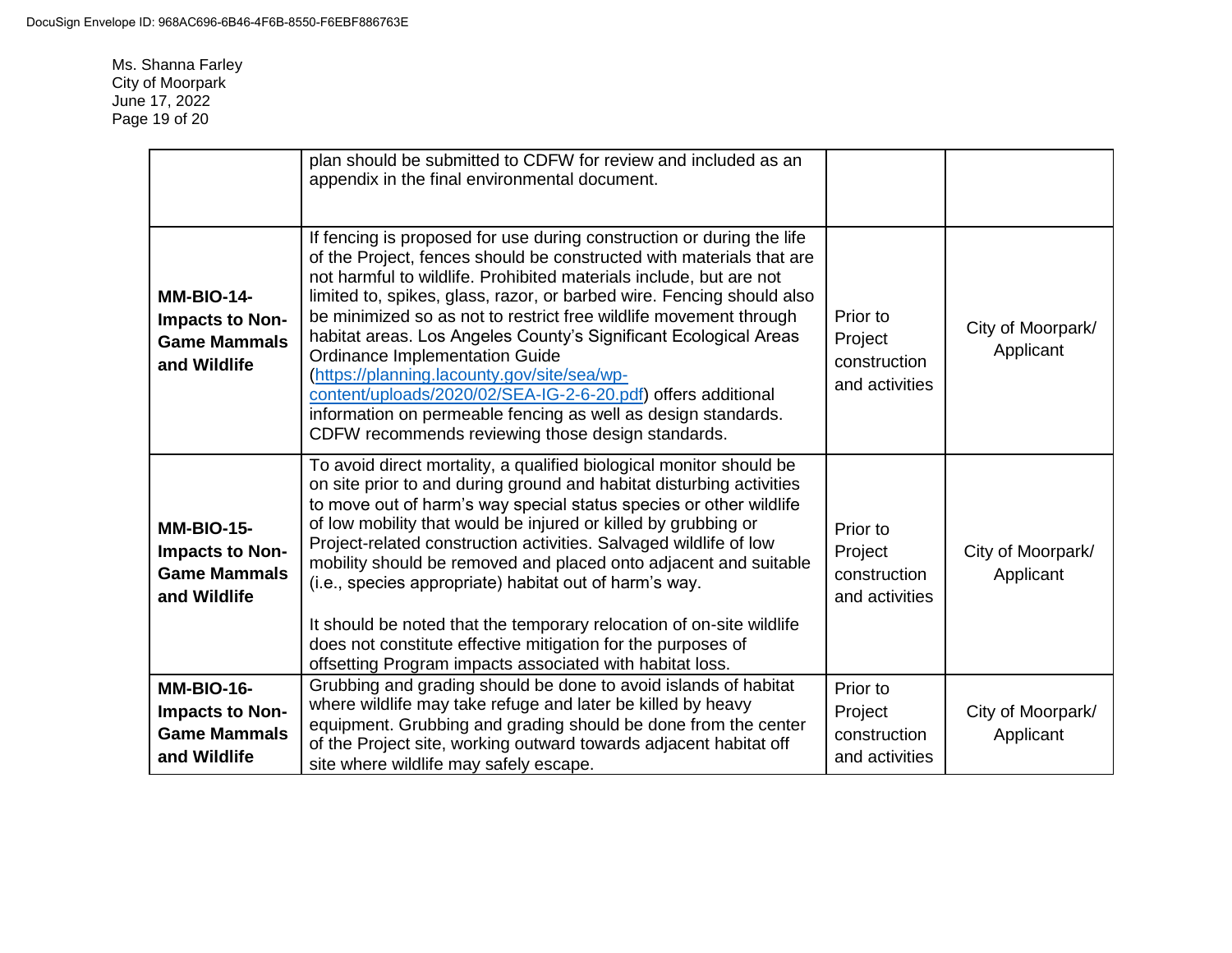Ms. Shanna Farley City of Moorpark June 17, 2022 Page 19 of 20

|                                                                             | plan should be submitted to CDFW for review and included as an<br>appendix in the final environmental document.                                                                                                                                                                                                                                                                                                                                                                                                                                                                                                                                                                                                     |                                                       |                                |
|-----------------------------------------------------------------------------|---------------------------------------------------------------------------------------------------------------------------------------------------------------------------------------------------------------------------------------------------------------------------------------------------------------------------------------------------------------------------------------------------------------------------------------------------------------------------------------------------------------------------------------------------------------------------------------------------------------------------------------------------------------------------------------------------------------------|-------------------------------------------------------|--------------------------------|
| <b>MM-BIO-14-</b><br>Impacts to Non-<br><b>Game Mammals</b><br>and Wildlife | If fencing is proposed for use during construction or during the life<br>of the Project, fences should be constructed with materials that are<br>not harmful to wildlife. Prohibited materials include, but are not<br>limited to, spikes, glass, razor, or barbed wire. Fencing should also<br>be minimized so as not to restrict free wildlife movement through<br>habitat areas. Los Angeles County's Significant Ecological Areas<br><b>Ordinance Implementation Guide</b><br>(https://planning.lacounty.gov/site/sea/wp-<br>content/uploads/2020/02/SEA-IG-2-6-20.pdf) offers additional<br>information on permeable fencing as well as design standards.<br>CDFW recommends reviewing those design standards. | Prior to<br>Project<br>construction<br>and activities | City of Moorpark/<br>Applicant |
| <b>MM-BIO-15-</b><br>Impacts to Non-<br><b>Game Mammals</b><br>and Wildlife | To avoid direct mortality, a qualified biological monitor should be<br>on site prior to and during ground and habitat disturbing activities<br>to move out of harm's way special status species or other wildlife<br>of low mobility that would be injured or killed by grubbing or<br>Project-related construction activities. Salvaged wildlife of low<br>mobility should be removed and placed onto adjacent and suitable<br>(i.e., species appropriate) habitat out of harm's way.<br>It should be noted that the temporary relocation of on-site wildlife<br>does not constitute effective mitigation for the purposes of<br>offsetting Program impacts associated with habitat loss.                          | Prior to<br>Project<br>construction<br>and activities | City of Moorpark/<br>Applicant |
| <b>MM-BIO-16-</b><br>Impacts to Non-<br><b>Game Mammals</b><br>and Wildlife | Grubbing and grading should be done to avoid islands of habitat<br>where wildlife may take refuge and later be killed by heavy<br>equipment. Grubbing and grading should be done from the center<br>of the Project site, working outward towards adjacent habitat off<br>site where wildlife may safely escape.                                                                                                                                                                                                                                                                                                                                                                                                     | Prior to<br>Project<br>construction<br>and activities | City of Moorpark/<br>Applicant |